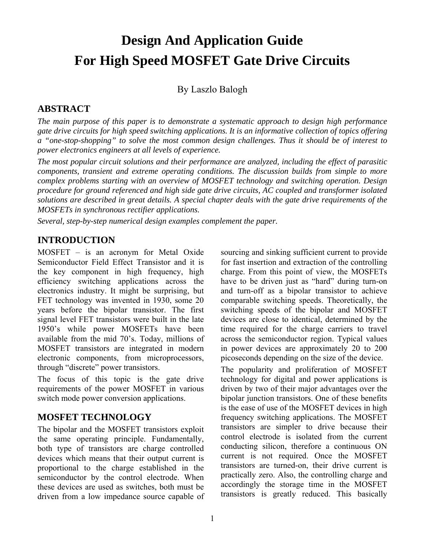# **Design And Application Guide For High Speed MOSFET Gate Drive Circuits**

By Laszlo Balogh

# **ABSTRACT**

*The main purpose of this paper is to demonstrate a systematic approach to design high performance gate drive circuits for high speed switching applications. It is an informative collection of topics offering a "one-stop-shopping" to solve the most common design challenges. Thus it should be of interest to power electronics engineers at all levels of experience.* 

*The most popular circuit solutions and their performance are analyzed, including the effect of parasitic components, transient and extreme operating conditions. The discussion builds from simple to more complex problems starting with an overview of MOSFET technology and switching operation. Design procedure for ground referenced and high side gate drive circuits, AC coupled and transformer isolated solutions are described in great details. A special chapter deals with the gate drive requirements of the MOSFETs in synchronous rectifier applications.* 

*Several, step-by-step numerical design examples complement the paper.* 

# **INTRODUCTION**

MOSFET – is an acronym for Metal Oxide Semiconductor Field Effect Transistor and it is the key component in high frequency, high efficiency switching applications across the electronics industry. It might be surprising, but FET technology was invented in 1930, some 20 years before the bipolar transistor. The first signal level FET transistors were built in the late 1950's while power MOSFETs have been available from the mid 70's. Today, millions of MOSFET transistors are integrated in modern electronic components, from microprocessors, through "discrete" power transistors.

The focus of this topic is the gate drive requirements of the power MOSFET in various switch mode power conversion applications.

# **MOSFET TECHNOLOGY**

The bipolar and the MOSFET transistors exploit the same operating principle. Fundamentally, both type of transistors are charge controlled devices which means that their output current is proportional to the charge established in the semiconductor by the control electrode. When these devices are used as switches, both must be driven from a low impedance source capable of sourcing and sinking sufficient current to provide for fast insertion and extraction of the controlling charge. From this point of view, the MOSFETs have to be driven just as "hard" during turn-on and turn-off as a bipolar transistor to achieve comparable switching speeds. Theoretically, the switching speeds of the bipolar and MOSFET devices are close to identical, determined by the time required for the charge carriers to travel across the semiconductor region. Typical values in power devices are approximately 20 to 200 picoseconds depending on the size of the device.

The popularity and proliferation of MOSFET technology for digital and power applications is driven by two of their major advantages over the bipolar junction transistors. One of these benefits is the ease of use of the MOSFET devices in high frequency switching applications. The MOSFET transistors are simpler to drive because their control electrode is isolated from the current conducting silicon, therefore a continuous ON current is not required. Once the MOSFET transistors are turned-on, their drive current is practically zero. Also, the controlling charge and accordingly the storage time in the MOSFET transistors is greatly reduced. This basically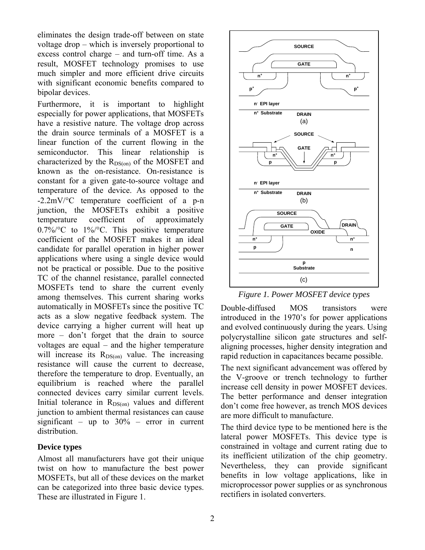eliminates the design trade-off between on state voltage drop – which is inversely proportional to excess control charge – and turn-off time. As a result, MOSFET technology promises to use much simpler and more efficient drive circuits with significant economic benefits compared to bipolar devices.

Furthermore, it is important to highlight especially for power applications, that MOSFETs have a resistive nature. The voltage drop across the drain source terminals of a MOSFET is a linear function of the current flowing in the semiconductor. This linear relationship is characterized by the  $R_{DS(0n)}$  of the MOSFET and known as the on-resistance. On-resistance is constant for a given gate-to-source voltage and temperature of the device. As opposed to the -2.2mV/°C temperature coefficient of a p-n junction, the MOSFETs exhibit a positive temperature coefficient of approximately  $0.7\%$  o  $1\%$  C. This positive temperature coefficient of the MOSFET makes it an ideal candidate for parallel operation in higher power applications where using a single device would not be practical or possible. Due to the positive TC of the channel resistance, parallel connected MOSFETs tend to share the current evenly among themselves. This current sharing works automatically in MOSFETs since the positive TC acts as a slow negative feedback system. The device carrying a higher current will heat up more – don't forget that the drain to source voltages are equal – and the higher temperature will increase its  $R_{DS(0n)}$  value. The increasing resistance will cause the current to decrease, therefore the temperature to drop. Eventually, an equilibrium is reached where the parallel connected devices carry similar current levels. Initial tolerance in  $R_{DS(on)}$  values and different junction to ambient thermal resistances can cause significant – up to  $30\%$  – error in current distribution.

### **Device types**

Almost all manufacturers have got their unique twist on how to manufacture the best power MOSFETs, but all of these devices on the market can be categorized into three basic device types. These are illustrated in Figure 1.



*Figure 1. Power MOSFET device types* 

Double-diffused MOS transistors were introduced in the 1970's for power applications and evolved continuously during the years. Using polycrystalline silicon gate structures and selfaligning processes, higher density integration and rapid reduction in capacitances became possible.

The next significant advancement was offered by the V-groove or trench technology to further increase cell density in power MOSFET devices. The better performance and denser integration don't come free however, as trench MOS devices are more difficult to manufacture.

The third device type to be mentioned here is the lateral power MOSFETs. This device type is constrained in voltage and current rating due to its inefficient utilization of the chip geometry. Nevertheless, they can provide significant benefits in low voltage applications, like in microprocessor power supplies or as synchronous rectifiers in isolated converters.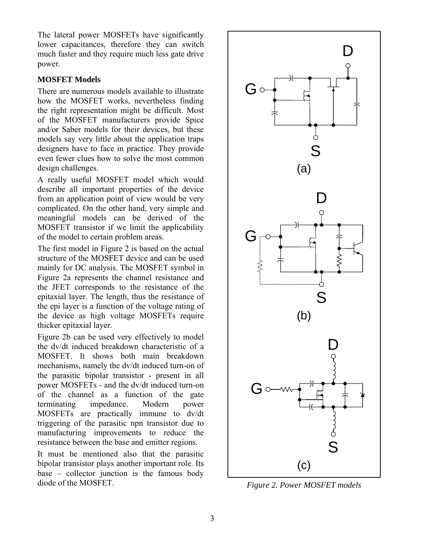The lateral power MOSFETs have significantly lower capacitances, therefore they can switch much faster and they require much less gate drive power.

# **MOSFET Models**

There are numerous models available to illustrate how the MOSFET works, nevertheless finding the right representation might be difficult. Most of the MOSFET manufacturers provide Spice and/or Saber models for their devices, but these models say very little about the application traps designers have to face in practice. They provide even fewer clues how to solve the most common design challenges.

A really useful MOSFET model which would describe all important properties of the device from an application point of view would be very complicated. On the other hand, very simple and meaningful models can be derived of the MOSFET transistor if we limit the applicability of the model to certain problem areas.

The first model in Figure 2 is based on the actual structure of the MOSFET device and can be used mainly for DC analysis. The MOSFET symbol in Figure 2a represents the channel resistance and the JFET corresponds to the resistance of the epitaxial layer. The length, thus the resistance of the epi layer is a function of the voltage rating of the device as high voltage MOSFETs require thicker epitaxial layer.

Figure 2b can be used very effectively to model the dv/dt induced breakdown characteristic of a MOSFET. It shows both main breakdown mechanisms, namely the dv/dt induced turn-on of the parasitic bipolar transistor - present in all power MOSFETs - and the dv/dt induced turn-on of the channel as a function of the gate terminating impedance. Modern power MOSFETs are practically immune to dv/dt triggering of the parasitic npn transistor due to manufacturing improvements to reduce the resistance between the base and emitter regions.

It must be mentioned also that the parasitic bipolar transistor plays another important role. Its base – collector junction is the famous body diode of the MOSFET.



*Figure 2. Power MOSFET models*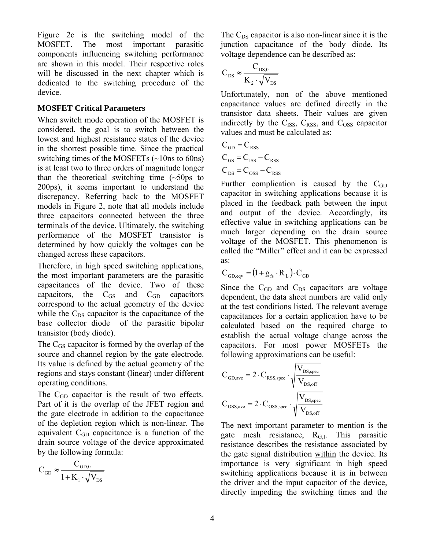Figure 2c is the switching model of the MOSFET. The most important parasitic components influencing switching performance are shown in this model. Their respective roles will be discussed in the next chapter which is dedicated to the switching procedure of the device.

### **MOSFET Critical Parameters**

When switch mode operation of the MOSFET is considered, the goal is to switch between the lowest and highest resistance states of the device in the shortest possible time. Since the practical switching times of the MOSFETs (~10ns to 60ns) is at least two to three orders of magnitude longer than the theoretical switching time  $(\sim 50 \text{ps})$  to 200ps), it seems important to understand the discrepancy. Referring back to the MOSFET models in Figure 2, note that all models include three capacitors connected between the three terminals of the device. Ultimately, the switching performance of the MOSFET transistor is determined by how quickly the voltages can be changed across these capacitors.

Therefore, in high speed switching applications, the most important parameters are the parasitic capacitances of the device. Two of these capacitors, the  $C_{\text{GS}}$  and  $C_{\text{GD}}$  capacitors correspond to the actual geometry of the device while the  $C_{DS}$  capacitor is the capacitance of the base collector diode of the parasitic bipolar transistor (body diode).

The  $C_{GS}$  capacitor is formed by the overlap of the source and channel region by the gate electrode. Its value is defined by the actual geometry of the regions and stays constant (linear) under different operating conditions.

The C<sub>GD</sub> capacitor is the result of two effects. Part of it is the overlap of the JFET region and the gate electrode in addition to the capacitance of the depletion region which is non-linear. The equivalent  $C_{GD}$  capacitance is a function of the drain source voltage of the device approximated by the following formula:

$$
C_{\rm GD} \approx \frac{C_{\rm GD,0}}{1+K_1\cdot \sqrt{V_{\rm DS}}}
$$

The  $C_{DS}$  capacitor is also non-linear since it is the junction capacitance of the body diode. Its voltage dependence can be described as:

$$
C_{DS} \approx \frac{C_{DS,0}}{K_2 \cdot \sqrt{V_{DS}}}
$$

Unfortunately, non of the above mentioned capacitance values are defined directly in the transistor data sheets. Their values are given indirectly by the  $C_{ISS}$ ,  $C_{RSS}$ , and  $C_{OSS}$  capacitor values and must be calculated as:

$$
C_{GD} = C_{RSS}
$$
  
\n
$$
C_{GS} = C_{ISS} - C_{RSS}
$$
  
\n
$$
C_{DS} = C_{OSS} - C_{RSS}
$$

Further complication is caused by the  $C_{GD}$ capacitor in switching applications because it is placed in the feedback path between the input and output of the device. Accordingly, its effective value in switching applications can be much larger depending on the drain source voltage of the MOSFET. This phenomenon is called the "Miller" effect and it can be expressed as:

$$
C_{GD,eqv} = (1 + g_{fs} \cdot R_L) \cdot C_{GD}
$$

Since the  $C_{GD}$  and  $C_{DS}$  capacitors are voltage dependent, the data sheet numbers are valid only at the test conditions listed. The relevant average capacitances for a certain application have to be calculated based on the required charge to establish the actual voltage change across the capacitors. For most power MOSFETs the following approximations can be useful:

$$
C_{\text{GD,ave}} = 2 \cdot C_{\text{RSS,spec}} \cdot \sqrt{\frac{V_{\text{DS,spec}}}{V_{\text{DS,off}}}}
$$

$$
C_{\text{OSS,ave}} = 2 \cdot C_{\text{OSS,spec}} \cdot \sqrt{\frac{V_{\text{DS,spec}}}{V_{\text{DS,off}}}}
$$

The next important parameter to mention is the gate mesh resistance,  $R<sub>G,I</sub>$ . This parasitic resistance describes the resistance associated by the gate signal distribution within the device. Its importance is very significant in high speed switching applications because it is in between the driver and the input capacitor of the device, directly impeding the switching times and the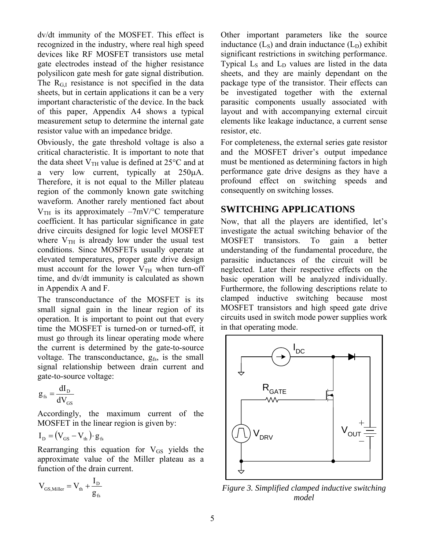dv/dt immunity of the MOSFET. This effect is recognized in the industry, where real high speed devices like RF MOSFET transistors use metal gate electrodes instead of the higher resistance polysilicon gate mesh for gate signal distribution. The  $R<sub>GL</sub>$  resistance is not specified in the data sheets, but in certain applications it can be a very important characteristic of the device. In the back of this paper, Appendix A4 shows a typical measurement setup to determine the internal gate resistor value with an impedance bridge.

Obviously, the gate threshold voltage is also a critical characteristic. It is important to note that the data sheet  $V<sub>TH</sub>$  value is defined at 25 $\degree$ C and at a very low current, typically at 250μA. Therefore, it is not equal to the Miller plateau region of the commonly known gate switching waveform. Another rarely mentioned fact about  $V_{TH}$  is its approximately  $-7mV$ <sup>o</sup>C temperature coefficient. It has particular significance in gate drive circuits designed for logic level MOSFET where  $V_{TH}$  is already low under the usual test conditions. Since MOSFETs usually operate at elevated temperatures, proper gate drive design must account for the lower  $V<sub>TH</sub>$  when turn-off time, and dv/dt immunity is calculated as shown in Appendix A and F.

The transconductance of the MOSFET is its small signal gain in the linear region of its operation. It is important to point out that every time the MOSFET is turned-on or turned-off, it must go through its linear operating mode where the current is determined by the gate-to-source voltage. The transconductance,  $g_{fs}$  is the small signal relationship between drain current and gate-to-source voltage:

$$
g_{\rm fs} = \frac{dI_{\rm D}}{dV_{\rm GS}}
$$

Accordingly, the maximum current of the MOSFET in the linear region is given by:

$$
I_{\rm D} = (V_{\rm GS} - V_{\rm th}) \cdot g_{\rm fs}
$$

Rearranging this equation for  $V_{GS}$  yields the approximate value of the Miller plateau as a function of the drain current.

$$
V_{_{GS, Miller}} = V_{_{th}} + \frac{I_{_{D}}}{g_{_{fs}}}
$$

Other important parameters like the source inductance  $(L<sub>S</sub>)$  and drain inductance  $(L<sub>D</sub>)$  exhibit significant restrictions in switching performance. Typical  $L_s$  and  $L_p$  values are listed in the data sheets, and they are mainly dependant on the package type of the transistor. Their effects can be investigated together with the external parasitic components usually associated with layout and with accompanying external circuit elements like leakage inductance, a current sense resistor, etc.

For completeness, the external series gate resistor and the MOSFET driver's output impedance must be mentioned as determining factors in high performance gate drive designs as they have a profound effect on switching speeds and consequently on switching losses.

# **SWITCHING APPLICATIONS**

Now, that all the players are identified, let's investigate the actual switching behavior of the MOSFET transistors. To gain a better understanding of the fundamental procedure, the parasitic inductances of the circuit will be neglected. Later their respective effects on the basic operation will be analyzed individually. Furthermore, the following descriptions relate to clamped inductive switching because most MOSFET transistors and high speed gate drive circuits used in switch mode power supplies work in that operating mode.



*Figure 3. Simplified clamped inductive switching model*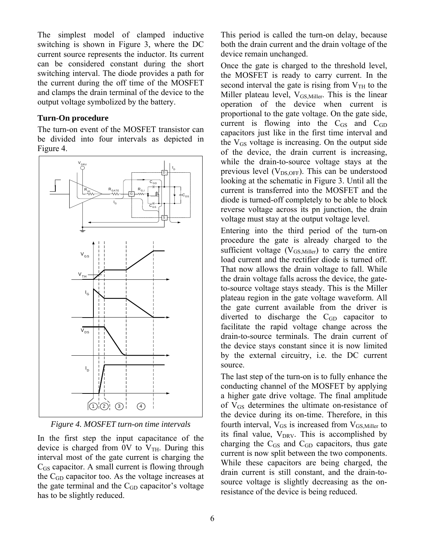The simplest model of clamped inductive switching is shown in Figure 3, where the DC current source represents the inductor. Its current can be considered constant during the short switching interval. The diode provides a path for the current during the off time of the MOSFET and clamps the drain terminal of the device to the output voltage symbolized by the battery.

### **Turn-On procedure**

The turn-on event of the MOSFET transistor can be divided into four intervals as depicted in Figure 4.



*Figure 4. MOSFET turn-on time intervals* 

In the first step the input capacitance of the device is charged from 0V to  $V<sub>TH</sub>$ . During this interval most of the gate current is charging the  $C_{GS}$  capacitor. A small current is flowing through the CGD capacitor too. As the voltage increases at the gate terminal and the  $C_{GD}$  capacitor's voltage has to be slightly reduced.

This period is called the turn-on delay, because both the drain current and the drain voltage of the device remain unchanged.

Once the gate is charged to the threshold level, the MOSFET is ready to carry current. In the second interval the gate is rising from  $V<sub>TH</sub>$  to the Miller plateau level,  $V_{GS, Miller}$ . This is the linear operation of the device when current is proportional to the gate voltage. On the gate side, current is flowing into the  $C_{\text{GS}}$  and  $C_{\text{GD}}$ capacitors just like in the first time interval and the  $V_{GS}$  voltage is increasing. On the output side of the device, the drain current is increasing, while the drain-to-source voltage stays at the previous level  $(V_{DS,OFF})$ . This can be understood looking at the schematic in Figure 3. Until all the current is transferred into the MOSFET and the diode is turned-off completely to be able to block reverse voltage across its pn junction, the drain voltage must stay at the output voltage level.

Entering into the third period of the turn-on procedure the gate is already charged to the sufficient voltage ( $V_{GS, Miller}$ ) to carry the entire load current and the rectifier diode is turned off. That now allows the drain voltage to fall. While the drain voltage falls across the device, the gateto-source voltage stays steady. This is the Miller plateau region in the gate voltage waveform. All the gate current available from the driver is diverted to discharge the  $C<sub>GD</sub>$  capacitor to facilitate the rapid voltage change across the drain-to-source terminals. The drain current of the device stays constant since it is now limited by the external circuitry, i.e. the DC current source.

The last step of the turn-on is to fully enhance the conducting channel of the MOSFET by applying a higher gate drive voltage. The final amplitude of  $V_{GS}$  determines the ultimate on-resistance of the device during its on-time. Therefore, in this fourth interval,  $V_{GS}$  is increased from  $V_{GS, Miller}$  to its final value,  $V_{DRV}$ . This is accomplished by charging the  $C_{GS}$  and  $C_{GD}$  capacitors, thus gate current is now split between the two components. While these capacitors are being charged, the drain current is still constant, and the drain-tosource voltage is slightly decreasing as the onresistance of the device is being reduced.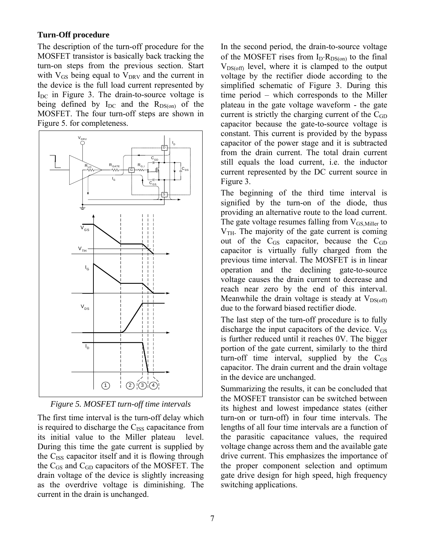### **Turn-Off procedure**

The description of the turn-off procedure for the MOSFET transistor is basically back tracking the turn-on steps from the previous section. Start with  $V_{GS}$  being equal to  $V_{DRV}$  and the current in the device is the full load current represented by  $I_{DC}$  in Figure 3. The drain-to-source voltage is being defined by  $I_{DC}$  and the  $R_{DS(on)}$  of the MOSFET. The four turn-off steps are shown in Figure 5. for completeness.



*Figure 5. MOSFET turn-off time intervals* 

The first time interval is the turn-off delay which is required to discharge the  $C_{ISS}$  capacitance from its initial value to the Miller plateau level. During this time the gate current is supplied by the  $C_{ISS}$  capacitor itself and it is flowing through the  $C_{GS}$  and  $C_{GD}$  capacitors of the MOSFET. The drain voltage of the device is slightly increasing as the overdrive voltage is diminishing. The current in the drain is unchanged.

In the second period, the drain-to-source voltage of the MOSFET rises from  $I_D \cdot R_{DS(0n)}$  to the final  $V_{DS(off)}$  level, where it is clamped to the output voltage by the rectifier diode according to the simplified schematic of Figure 3. During this time period – which corresponds to the Miller plateau in the gate voltage waveform - the gate current is strictly the charging current of the  $C_{GD}$ capacitor because the gate-to-source voltage is constant. This current is provided by the bypass capacitor of the power stage and it is subtracted from the drain current. The total drain current still equals the load current, i.e. the inductor current represented by the DC current source in Figure 3.

The beginning of the third time interval is signified by the turn-on of the diode, thus providing an alternative route to the load current. The gate voltage resumes falling from  $V_{GS, Miller}$  to  $V<sub>TH</sub>$ . The majority of the gate current is coming out of the  $C_{GS}$  capacitor, because the  $C_{GD}$ capacitor is virtually fully charged from the previous time interval. The MOSFET is in linear operation and the declining gate-to-source voltage causes the drain current to decrease and reach near zero by the end of this interval. Meanwhile the drain voltage is steady at  $V_{DS(off)}$ due to the forward biased rectifier diode.

The last step of the turn-off procedure is to fully discharge the input capacitors of the device.  $V_{GS}$ is further reduced until it reaches 0V. The bigger portion of the gate current, similarly to the third turn-off time interval, supplied by the  $C_{GS}$ capacitor. The drain current and the drain voltage in the device are unchanged.

Summarizing the results, it can be concluded that the MOSFET transistor can be switched between its highest and lowest impedance states (either turn-on or turn-off) in four time intervals. The lengths of all four time intervals are a function of the parasitic capacitance values, the required voltage change across them and the available gate drive current. This emphasizes the importance of the proper component selection and optimum gate drive design for high speed, high frequency switching applications.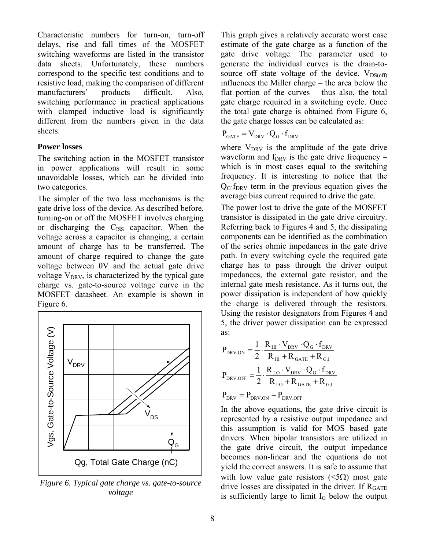Characteristic numbers for turn-on, turn-off delays, rise and fall times of the MOSFET switching waveforms are listed in the transistor data sheets. Unfortunately, these numbers correspond to the specific test conditions and to resistive load, making the comparison of different manufacturers' products difficult. Also, switching performance in practical applications with clamped inductive load is significantly different from the numbers given in the data sheets.

### **Power losses**

The switching action in the MOSFET transistor in power applications will result in some unavoidable losses, which can be divided into two categories.

The simpler of the two loss mechanisms is the gate drive loss of the device. As described before, turning-on or off the MOSFET involves charging or discharging the C<sub>ISS</sub> capacitor. When the voltage across a capacitor is changing, a certain amount of charge has to be transferred. The amount of charge required to change the gate voltage between 0V and the actual gate drive voltage  $V_{\text{DRV}}$ , is characterized by the typical gate charge vs. gate-to-source voltage curve in the MOSFET datasheet. An example is shown in Figure 6.



*Figure 6. Typical gate charge vs. gate-to-source voltage* 

This graph gives a relatively accurate worst case estimate of the gate charge as a function of the gate drive voltage. The parameter used to generate the individual curves is the drain-tosource off state voltage of the device.  $V_{DS(off)}$ influences the Miller charge – the area below the flat portion of the curves – thus also, the total gate charge required in a switching cycle. Once the total gate charge is obtained from Figure 6, the gate charge losses can be calculated as:

$$
\mathbf{P}_{\text{GATE}} = \mathbf{V}_{\text{DRV}} \cdot \mathbf{Q}_{\text{G}} \cdot \mathbf{f}_{\text{DRV}}
$$

where  $V_{DRV}$  is the amplitude of the gate drive waveform and  $f_{DRV}$  is the gate drive frequency – which is in most cases equal to the switching frequency. It is interesting to notice that the  $Q<sub>G</sub>$ ·f<sub>DRV</sub> term in the previous equation gives the average bias current required to drive the gate.

The power lost to drive the gate of the MOSFET transistor is dissipated in the gate drive circuitry. Referring back to Figures 4 and 5, the dissipating components can be identified as the combination of the series ohmic impedances in the gate drive path. In every switching cycle the required gate charge has to pass through the driver output impedances, the external gate resistor, and the internal gate mesh resistance. As it turns out, the power dissipation is independent of how quickly the charge is delivered through the resistors. Using the resistor designators from Figures 4 and 5, the driver power dissipation can be expressed as:

$$
P_{DRV,ON} = \frac{1}{2} \cdot \frac{R_{HI} \cdot V_{DRV} \cdot Q_{G} \cdot f_{DRV}}{R_{HI} + R_{GATE} + R_{G,I}}
$$

$$
P_{DRV,OFF} = \frac{1}{2} \cdot \frac{R_{LO} \cdot V_{DRV} \cdot Q_{G} \cdot f_{DRV}}{R_{LO} + R_{GATE} + R_{G,I}}
$$

$$
P_{DRV} = P_{DRV,ON} + P_{DRV,OFF}
$$

In the above equations, the gate drive circuit is represented by a resistive output impedance and this assumption is valid for MOS based gate drivers. When bipolar transistors are utilized in the gate drive circuit, the output impedance becomes non-linear and the equations do not yield the correct answers. It is safe to assume that with low value gate resistors ( $\leq 5\Omega$ ) most gate drive losses are dissipated in the driver. If  $R<sub>GATE</sub>$ is sufficiently large to limit  $I_G$  below the output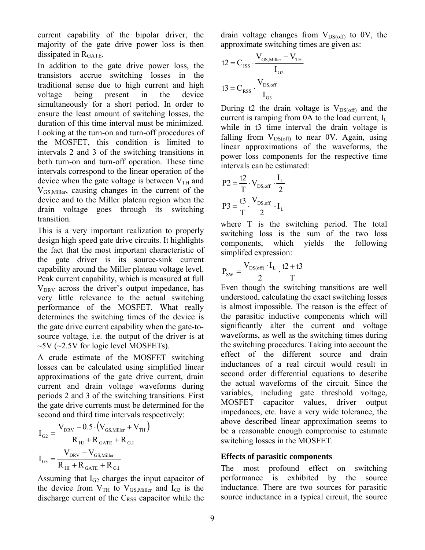current capability of the bipolar driver, the majority of the gate drive power loss is then dissipated in  $R<sub>GATE</sub>$ .

In addition to the gate drive power loss, the transistors accrue switching losses in the traditional sense due to high current and high voltage being present in the device simultaneously for a short period. In order to ensure the least amount of switching losses, the duration of this time interval must be minimized. Looking at the turn-on and turn-off procedures of the MOSFET, this condition is limited to intervals 2 and 3 of the switching transitions in both turn-on and turn-off operation. These time intervals correspond to the linear operation of the device when the gate voltage is between  $V_{TH}$  and VGS,Miller, causing changes in the current of the device and to the Miller plateau region when the drain voltage goes through its switching transition.

This is a very important realization to properly design high speed gate drive circuits. It highlights the fact that the most important characteristic of the gate driver is its source-sink current capability around the Miller plateau voltage level. Peak current capability, which is measured at full  $V<sub>DRV</sub>$  across the driver's output impedance, has very little relevance to the actual switching performance of the MOSFET. What really determines the switching times of the device is the gate drive current capability when the gate-tosource voltage, i.e. the output of the driver is at  $\sim$  5V ( $\sim$ 2.5V for logic level MOSFETs).

A crude estimate of the MOSFET switching losses can be calculated using simplified linear approximations of the gate drive current, drain current and drain voltage waveforms during periods 2 and 3 of the switching transitions. First the gate drive currents must be determined for the second and third time intervals respectively:

$$
I_{\text{G2}} = \frac{V_{\text{DRV}} - 0.5 \cdot (V_{\text{GS, Miller}} + V_{\text{TH}})}{R_{\text{HI}} + R_{\text{GATE}} + R_{\text{G,I}}}
$$

$$
I_{\text{G3}} = \frac{V_{\text{DRV}} - V_{\text{GS, Miller}}}{R_{\text{HI}} + R_{\text{GATE}} + R_{\text{G,I}}}
$$

Assuming that  $I_{G2}$  charges the input capacitor of the device from  $V_{TH}$  to  $V_{GS, Miller}$  and  $I_{G3}$  is the discharge current of the  $C_{RSS}$  capacitor while the

drain voltage changes from  $V_{DS(off)}$  to 0V, the approximate switching times are given as:

$$
t2 = C_{ISS} \cdot \frac{V_{GS, Miller} - V_{TH}}{I_{G2}}
$$

$$
t3 = C_{RSS} \cdot \frac{V_{DS, off}}{I_{G3}}
$$

During t2 the drain voltage is  $V_{DS(off)}$  and the current is ramping from  $0A$  to the load current,  $I_L$ while in t3 time interval the drain voltage is falling from  $V_{DS(off)}$  to near 0V. Again, using linear approximations of the waveforms, the power loss components for the respective time intervals can be estimated:

$$
P2 = \frac{t2}{T} \cdot V_{DS,off} \cdot \frac{I_L}{2}
$$

$$
P3 = \frac{t3}{T} \cdot \frac{V_{DS,off}}{2} \cdot I_L
$$

where T is the switching period. The total switching loss is the sum of the two loss components, which yields the following simplifed expression:

$$
P_{SW} = \frac{V_{DS(off)} \cdot I_L}{2} \cdot \frac{t2 + t3}{T}
$$

Even though the switching transitions are well understood, calculating the exact switching losses is almost impossible. The reason is the effect of the parasitic inductive components which will significantly alter the current and voltage waveforms, as well as the switching times during the switching procedures. Taking into account the effect of the different source and drain inductances of a real circuit would result in second order differential equations to describe the actual waveforms of the circuit. Since the variables, including gate threshold voltage, MOSFET capacitor values, driver output impedances, etc. have a very wide tolerance, the above described linear approximation seems to be a reasonable enough compromise to estimate switching losses in the MOSFET.

# **Effects of parasitic components**

The most profound effect on switching performance is exhibited by the source inductance. There are two sources for parasitic source inductance in a typical circuit, the source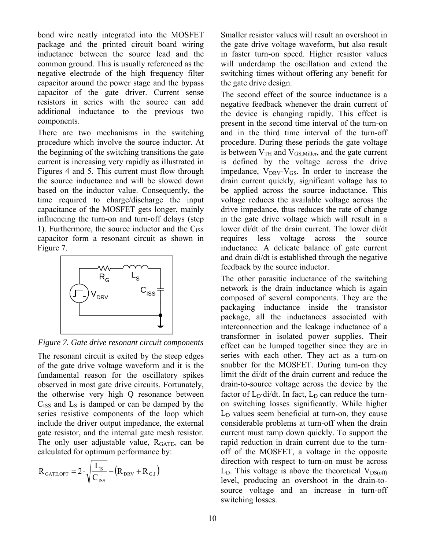bond wire neatly integrated into the MOSFET package and the printed circuit board wiring inductance between the source lead and the common ground. This is usually referenced as the negative electrode of the high frequency filter capacitor around the power stage and the bypass capacitor of the gate driver. Current sense resistors in series with the source can add additional inductance to the previous two components.

There are two mechanisms in the switching procedure which involve the source inductor. At the beginning of the switching transitions the gate current is increasing very rapidly as illustrated in Figures 4 and 5. This current must flow through the source inductance and will be slowed down based on the inductor value. Consequently, the time required to charge/discharge the input capacitance of the MOSFET gets longer, mainly influencing the turn-on and turn-off delays (step 1). Furthermore, the source inductor and the  $C_{ISS}$ capacitor form a resonant circuit as shown in Figure 7.



*Figure 7. Gate drive resonant circuit components* 

The resonant circuit is exited by the steep edges of the gate drive voltage waveform and it is the fundamental reason for the oscillatory spikes observed in most gate drive circuits. Fortunately, the otherwise very high Q resonance between  $C<sub>ISS</sub>$  and  $L<sub>S</sub>$  is damped or can be damped by the series resistive components of the loop which include the driver output impedance, the external gate resistor, and the internal gate mesh resistor. The only user adjustable value, R<sub>GATE</sub>, can be calculated for optimum performance by:

$$
R_{\text{GATE,OPT}} = 2 \cdot \sqrt{\frac{L_{\text{S}}}{C_{\text{ISS}}}} - (R_{\text{DRV}} + R_{\text{G,I}})
$$

Smaller resistor values will result an overshoot in the gate drive voltage waveform, but also result in faster turn-on speed. Higher resistor values will underdamp the oscillation and extend the switching times without offering any benefit for the gate drive design.

The second effect of the source inductance is a negative feedback whenever the drain current of the device is changing rapidly. This effect is present in the second time interval of the turn-on and in the third time interval of the turn-off procedure. During these periods the gate voltage is between  $V<sub>TH</sub>$  and  $V<sub>GS, Miller</sub>$ , and the gate current is defined by the voltage across the drive impedance,  $V_{DRV}$ - $V_{GS}$ . In order to increase the drain current quickly, significant voltage has to be applied across the source inductance. This voltage reduces the available voltage across the drive impedance, thus reduces the rate of change in the gate drive voltage which will result in a lower di/dt of the drain current. The lower di/dt requires less voltage across the source inductance. A delicate balance of gate current and drain di/dt is established through the negative feedback by the source inductor.

The other parasitic inductance of the switching network is the drain inductance which is again composed of several components. They are the packaging inductance inside the transistor package, all the inductances associated with interconnection and the leakage inductance of a transformer in isolated power supplies. Their effect can be lumped together since they are in series with each other. They act as a turn-on snubber for the MOSFET. During turn-on they limit the di/dt of the drain current and reduce the drain-to-source voltage across the device by the factor of  $L_D \cdot \text{di/dt}$ . In fact,  $L_D$  can reduce the turnon switching losses significantly. While higher  $L<sub>D</sub>$  values seem beneficial at turn-on, they cause considerable problems at turn-off when the drain current must ramp down quickly. To support the rapid reduction in drain current due to the turnoff of the MOSFET, a voltage in the opposite direction with respect to turn-on must be across  $L<sub>D</sub>$ . This voltage is above the theoretical  $V<sub>DS(off)</sub>$ level, producing an overshoot in the drain-tosource voltage and an increase in turn-off switching losses.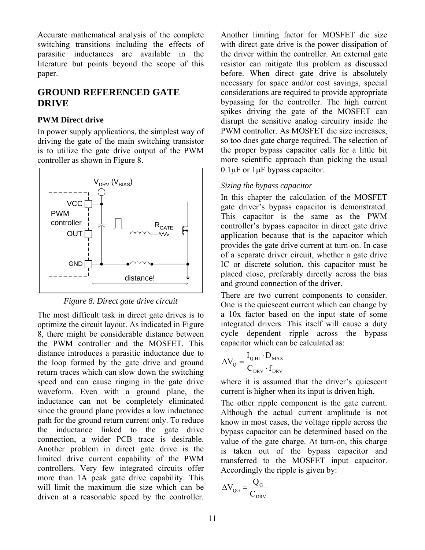Accurate mathematical analysis of the complete switching transitions including the effects of parasitic inductances are available in the literature but points beyond the scope of this paper.

# **GROUND REFERENCED GATE DRIVE**

### **PWM Direct drive**

In power supply applications, the simplest way of driving the gate of the main switching transistor is to utilize the gate drive output of the PWM controller as shown in Figure 8.



*Figure 8. Direct gate drive circuit* 

The most difficult task in direct gate drives is to optimize the circuit layout. As indicated in Figure 8, there might be considerable distance between the PWM controller and the MOSFET. This distance introduces a parasitic inductance due to the loop formed by the gate drive and ground return traces which can slow down the switching speed and can cause ringing in the gate drive waveform. Even with a ground plane, the inductance can not be completely eliminated since the ground plane provides a low inductance path for the ground return current only. To reduce the inductance linked to the gate drive connection, a wider PCB trace is desirable. Another problem in direct gate drive is the limited drive current capability of the PWM controllers. Very few integrated circuits offer more than 1A peak gate drive capability. This will limit the maximum die size which can be driven at a reasonable speed by the controller.

Another limiting factor for MOSFET die size with direct gate drive is the power dissipation of the driver within the controller. An external gate resistor can mitigate this problem as discussed before. When direct gate drive is absolutely necessary for space and/or cost savings, special considerations are required to provide appropriate bypassing for the controller. The high current spikes driving the gate of the MOSFET can disrupt the sensitive analog circuitry inside the PWM controller. As MOSFET die size increases, so too does gate charge required. The selection of the proper bypass capacitor calls for a little bit more scientific approach than picking the usual 0.1μF or 1μF bypass capacitor.

# *Sizing the bypass capacitor*

In this chapter the calculation of the MOSFET gate driver's bypass capacitor is demonstrated. This capacitor is the same as the PWM controller's bypass capacitor in direct gate drive application because that is the capacitor which provides the gate drive current at turn-on. In case of a separate driver circuit, whether a gate drive IC or discrete solution, this capacitor must be placed close, preferably directly across the bias and ground connection of the driver.

There are two current components to consider. One is the quiescent current which can change by a 10x factor based on the input state of some integrated drivers. This itself will cause a duty cycle dependent ripple across the bypass capacitor which can be calculated as:

$$
\Delta V_{Q} = \frac{I_{Q,HI} \cdot D_{MAX}}{C_{DRV} \cdot f_{DRV}}
$$

where it is assumed that the driver's quiescent current is higher when its input is driven high.

The other ripple component is the gate current. Although the actual current amplitude is not know in most cases, the voltage ripple across the bypass capacitor can be determined based on the value of the gate charge. At turn-on, this charge is taken out of the bypass capacitor and transferred to the MOSFET input capacitor. Accordingly the ripple is given by:

$$
\Delta V_{\text{QG}} = \frac{Q_{\text{G}}}{C_{\text{DRV}}}
$$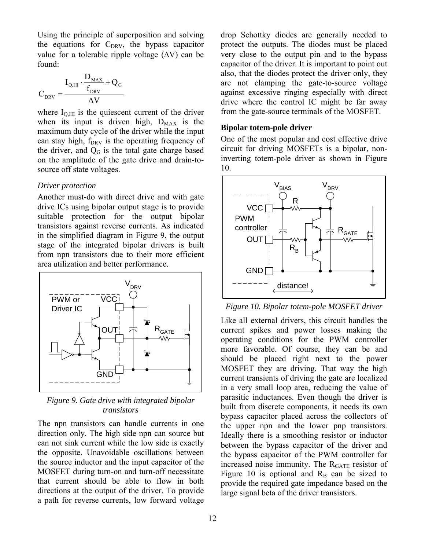Using the principle of superposition and solving the equations for  $C_{DRV}$ , the bypass capacitor value for a tolerable ripple voltage  $(\Delta V)$  can be found:

$$
C_{\text{DRV}} = \frac{I_{\text{Q,HI}} \cdot \frac{D_{\text{MAX}}}{f_{\text{DRV}}} + Q_{\text{G}}}{\Delta V}
$$

where  $I_{\text{O,HI}}$  is the quiescent current of the driver when its input is driven high,  $D_{MAX}$  is the maximum duty cycle of the driver while the input can stay high,  $f_{DRV}$  is the operating frequency of the driver, and  $Q<sub>G</sub>$  is the total gate charge based on the amplitude of the gate drive and drain-tosource off state voltages.

#### *Driver protection*

Another must-do with direct drive and with gate drive ICs using bipolar output stage is to provide suitable protection for the output bipolar transistors against reverse currents. As indicated in the simplified diagram in Figure 9, the output stage of the integrated bipolar drivers is built from npn transistors due to their more efficient area utilization and better performance.



*Figure 9. Gate drive with integrated bipolar transistors* 

The npn transistors can handle currents in one direction only. The high side npn can source but can not sink current while the low side is exactly the opposite. Unavoidable oscillations between the source inductor and the input capacitor of the MOSFET during turn-on and turn-off necessitate that current should be able to flow in both directions at the output of the driver. To provide a path for reverse currents, low forward voltage

drop Schottky diodes are generally needed to protect the outputs. The diodes must be placed very close to the output pin and to the bypass capacitor of the driver. It is important to point out also, that the diodes protect the driver only, they are not clamping the gate-to-source voltage against excessive ringing especially with direct drive where the control IC might be far away from the gate-source terminals of the MOSFET.

#### **Bipolar totem-pole driver**

One of the most popular and cost effective drive circuit for driving MOSFETs is a bipolar, noninverting totem-pole driver as shown in Figure 10.



*Figure 10. Bipolar totem-pole MOSFET driver* 

Like all external drivers, this circuit handles the current spikes and power losses making the operating conditions for the PWM controller more favorable. Of course, they can be and should be placed right next to the power MOSFET they are driving. That way the high current transients of driving the gate are localized in a very small loop area, reducing the value of parasitic inductances. Even though the driver is built from discrete components, it needs its own bypass capacitor placed across the collectors of the upper npn and the lower pnp transistors. Ideally there is a smoothing resistor or inductor between the bypass capacitor of the driver and the bypass capacitor of the PWM controller for increased noise immunity. The  $R<sub>GATE</sub>$  resistor of Figure 10 is optional and  $R_B$  can be sized to provide the required gate impedance based on the large signal beta of the driver transistors.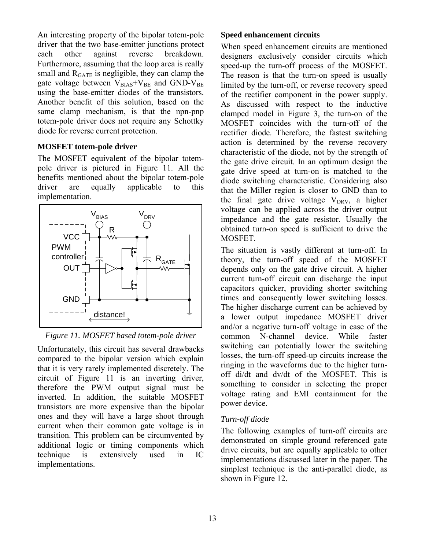An interesting property of the bipolar totem-pole driver that the two base-emitter junctions protect each other against reverse breakdown. Furthermore, assuming that the loop area is really small and  $R<sub>GATE</sub>$  is negligible, they can clamp the gate voltage between  $V_{BIAS}+V_{BE}$  and GND-V<sub>BE</sub> using the base-emitter diodes of the transistors. Another benefit of this solution, based on the same clamp mechanism, is that the npn-pnp totem-pole driver does not require any Schottky diode for reverse current protection.

### **MOSFET totem-pole driver**

The MOSFET equivalent of the bipolar totempole driver is pictured in Figure 11. All the benefits mentioned about the bipolar totem-pole driver are equally applicable to this implementation.



*Figure 11. MOSFET based totem-pole driver* 

Unfortunately, this circuit has several drawbacks compared to the bipolar version which explain that it is very rarely implemented discretely. The circuit of Figure 11 is an inverting driver, therefore the PWM output signal must be inverted. In addition, the suitable MOSFET transistors are more expensive than the bipolar ones and they will have a large shoot through current when their common gate voltage is in transition. This problem can be circumvented by additional logic or timing components which technique is extensively used in IC implementations.

# **Speed enhancement circuits**

When speed enhancement circuits are mentioned designers exclusively consider circuits which speed-up the turn-off process of the MOSFET. The reason is that the turn-on speed is usually limited by the turn-off, or reverse recovery speed of the rectifier component in the power supply. As discussed with respect to the inductive clamped model in Figure 3, the turn-on of the MOSFET coincides with the turn-off of the rectifier diode. Therefore, the fastest switching action is determined by the reverse recovery characteristic of the diode, not by the strength of the gate drive circuit. In an optimum design the gate drive speed at turn-on is matched to the diode switching characteristic. Considering also that the Miller region is closer to GND than to the final gate drive voltage  $V_{DRV}$ , a higher voltage can be applied across the driver output impedance and the gate resistor. Usually the obtained turn-on speed is sufficient to drive the MOSFET.

The situation is vastly different at turn-off. In theory, the turn-off speed of the MOSFET depends only on the gate drive circuit. A higher current turn-off circuit can discharge the input capacitors quicker, providing shorter switching times and consequently lower switching losses. The higher discharge current can be achieved by a lower output impedance MOSFET driver and/or a negative turn-off voltage in case of the common N-channel device. While faster switching can potentially lower the switching losses, the turn-off speed-up circuits increase the ringing in the waveforms due to the higher turnoff di/dt and dv/dt of the MOSFET. This is something to consider in selecting the proper voltage rating and EMI containment for the power device.

# *Turn-off diode*

The following examples of turn-off circuits are demonstrated on simple ground referenced gate drive circuits, but are equally applicable to other implementations discussed later in the paper. The simplest technique is the anti-parallel diode, as shown in Figure 12.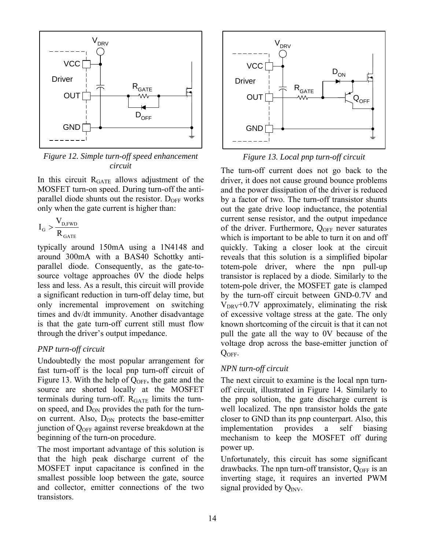

*Figure 12. Simple turn-off speed enhancement circuit* 

In this circuit RGATE allows adjustment of the MOSFET turn-on speed. During turn-off the antiparallel diode shunts out the resistor.  $D<sub>OFF</sub>$  works only when the gate current is higher than:

$$
I_{\rm G} > \frac{V_{\rm D, FWD}}{R_{\rm GATE}}
$$

typically around 150mA using a 1N4148 and around 300mA with a BAS40 Schottky antiparallel diode. Consequently, as the gate-tosource voltage approaches 0V the diode helps less and less. As a result, this circuit will provide a significant reduction in turn-off delay time, but only incremental improvement on switching times and dv/dt immunity. Another disadvantage is that the gate turn-off current still must flow through the driver's output impedance.

# *PNP turn-off circuit*

Undoubtedly the most popular arrangement for fast turn-off is the local pnp turn-off circuit of Figure 13. With the help of  $Q<sub>OFF</sub>$ , the gate and the source are shorted locally at the MOSFET terminals during turn-off.  $R_{GATE}$  limits the turnon speed, and  $D_{ON}$  provides the path for the turnon current. Also,  $D_{ON}$  protects the base-emitter junction of  $Q_{\text{OFF}}$  against reverse breakdown at the beginning of the turn-on procedure.

The most important advantage of this solution is that the high peak discharge current of the MOSFET input capacitance is confined in the smallest possible loop between the gate, source and collector, emitter connections of the two transistors.



*Figure 13. Local pnp turn-off circuit* 

The turn-off current does not go back to the driver, it does not cause ground bounce problems and the power dissipation of the driver is reduced by a factor of two. The turn-off transistor shunts out the gate drive loop inductance, the potential current sense resistor, and the output impedance of the driver. Furthermore,  $Q_{OFF}$  never saturates which is important to be able to turn it on and off quickly. Taking a closer look at the circuit reveals that this solution is a simplified bipolar totem-pole driver, where the npn pull-up transistor is replaced by a diode. Similarly to the totem-pole driver, the MOSFET gate is clamped by the turn-off circuit between GND-0.7V and  $V_{DRV}$ +0.7V approximately, eliminating the risk of excessive voltage stress at the gate. The only known shortcoming of the circuit is that it can not pull the gate all the way to 0V because of the voltage drop across the base-emitter junction of QOFF.

# *NPN turn-off circuit*

The next circuit to examine is the local npn turnoff circuit, illustrated in Figure 14. Similarly to the pnp solution, the gate discharge current is well localized. The npn transistor holds the gate closer to GND than its pnp counterpart. Also, this implementation provides a self biasing mechanism to keep the MOSFET off during power up.

Unfortunately, this circuit has some significant drawbacks. The npn turn-off transistor,  $Q_{OFF}$  is an inverting stage, it requires an inverted PWM signal provided by  $Q_{\text{INV}}$ .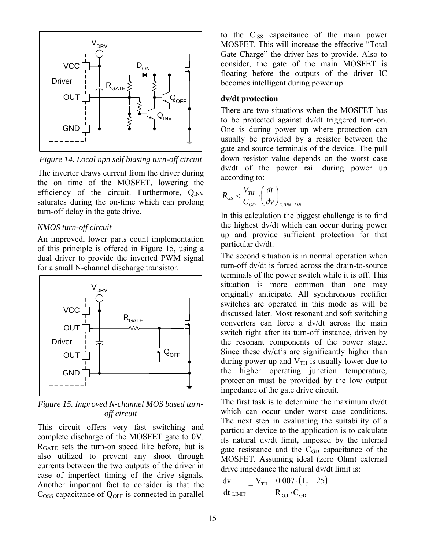

*Figure 14. Local npn self biasing turn-off circuit* 

The inverter draws current from the driver during the on time of the MOSFET, lowering the efficiency of the circuit. Furthermore,  $Q_{INV}$ saturates during the on-time which can prolong turn-off delay in the gate drive.

#### *NMOS turn-off circuit*

An improved, lower parts count implementation of this principle is offered in Figure 15, using a dual driver to provide the inverted PWM signal for a small N-channel discharge transistor.



*Figure 15. Improved N-channel MOS based turnoff circuit* 

This circuit offers very fast switching and complete discharge of the MOSFET gate to 0V. RGATE sets the turn-on speed like before, but is also utilized to prevent any shoot through currents between the two outputs of the driver in case of imperfect timing of the drive signals. Another important fact to consider is that the  $C<sub>OSS</sub>$  capacitance of  $Q<sub>OFF</sub>$  is connected in parallel

to the C<sub>ISS</sub> capacitance of the main power MOSFET. This will increase the effective "Total Gate Charge" the driver has to provide. Also to consider, the gate of the main MOSFET is floating before the outputs of the driver IC becomes intelligent during power up.

#### **dv/dt protection**

There are two situations when the MOSFET has to be protected against dv/dt triggered turn-on. One is during power up where protection can usually be provided by a resistor between the gate and source terminals of the device. The pull down resistor value depends on the worst case dv/dt of the power rail during power up according to:

$$
R_{GS} < \frac{V_{TH}}{C_{GD}} \cdot \left(\frac{dt}{dv}\right)_{TURN-ON}
$$

In this calculation the biggest challenge is to find the highest dv/dt which can occur during power up and provide sufficient protection for that particular dv/dt.

The second situation is in normal operation when turn-off dv/dt is forced across the drain-to-source terminals of the power switch while it is off. This situation is more common than one may originally anticipate. All synchronous rectifier switches are operated in this mode as will be discussed later. Most resonant and soft switching converters can force a dv/dt across the main switch right after its turn-off instance, driven by the resonant components of the power stage. Since these dv/dt's are significantly higher than during power up and  $V<sub>TH</sub>$  is usually lower due to the higher operating junction temperature, protection must be provided by the low output impedance of the gate drive circuit.

The first task is to determine the maximum dv/dt which can occur under worst case conditions. The next step in evaluating the suitability of a particular device to the application is to calculate its natural dv/dt limit, imposed by the internal gate resistance and the  $C_{GD}$  capacitance of the MOSFET. Assuming ideal (zero Ohm) external drive impedance the natural dv/dt limit is:

$$
\frac{\text{dv}}{\text{dt}}_{\text{LIMIT}} = \frac{V_{\text{TH}} - 0.007 \cdot (T_{\text{J}} - 25)}{R_{\text{G,I}} \cdot C_{\text{GD}}}
$$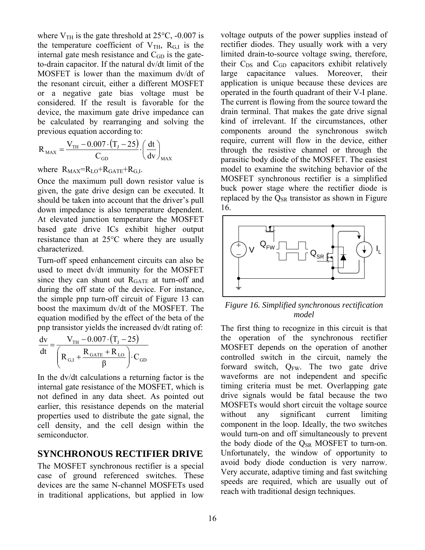where  $V_{TH}$  is the gate threshold at 25 $\degree$ C, -0.007 is the temperature coefficient of  $V_{TH}$ ,  $R_{G,I}$  is the internal gate mesh resistance and  $C<sub>GD</sub>$  is the gateto-drain capacitor. If the natural dv/dt limit of the MOSFET is lower than the maximum dv/dt of the resonant circuit, either a different MOSFET or a negative gate bias voltage must be considered. If the result is favorable for the device, the maximum gate drive impedance can be calculated by rearranging and solving the previous equation according to:

$$
R_{\text{MAX}} = \frac{V_{\text{TH}} - 0.007 \cdot (T_{\text{J}} - 25)}{C_{\text{GD}}} \cdot \left(\frac{dt}{dv}\right)_{\text{MAX}}
$$

where  $R_{MAX}=R_{LO}+R_{GATE}+R_{G,I}$ .

Once the maximum pull down resistor value is given, the gate drive design can be executed. It should be taken into account that the driver's pull down impedance is also temperature dependent. At elevated junction temperature the MOSFET based gate drive ICs exhibit higher output resistance than at 25°C where they are usually characterized.

Turn-off speed enhancement circuits can also be used to meet dv/dt immunity for the MOSFET since they can shunt out  $R<sub>GATE</sub>$  at turn-off and during the off state of the device. For instance, the simple pnp turn-off circuit of Figure 13 can boost the maximum dv/dt of the MOSFET. The equation modified by the effect of the beta of the pnp transistor yields the increased dv/dt rating of:

$$
\frac{dv}{dt} = \frac{V_{TH} - 0.007 \cdot (T_{J} - 25)}{\left(R_{G,I} + \frac{R_{GATE} + R_{LO}}{\beta}\right) \cdot C_{GD}}
$$

In the dv/dt calculations a returning factor is the internal gate resistance of the MOSFET, which is not defined in any data sheet. As pointed out earlier, this resistance depends on the material properties used to distribute the gate signal, the cell density, and the cell design within the semiconductor.

# **SYNCHRONOUS RECTIFIER DRIVE**

The MOSFET synchronous rectifier is a special case of ground referenced switches. These devices are the same N-channel MOSFETs used in traditional applications, but applied in low

voltage outputs of the power supplies instead of rectifier diodes. They usually work with a very limited drain-to-source voltage swing, therefore, their  $C_{DS}$  and  $C_{GD}$  capacitors exhibit relatively large capacitance values. Moreover, their application is unique because these devices are operated in the fourth quadrant of their V-I plane. The current is flowing from the source toward the drain terminal. That makes the gate drive signal kind of irrelevant. If the circumstances, other components around the synchronous switch require, current will flow in the device, either through the resistive channel or through the parasitic body diode of the MOSFET. The easiest model to examine the switching behavior of the MOSFET synchronous rectifier is a simplified buck power stage where the rectifier diode is replaced by the  $Q_{SR}$  transistor as shown in Figure 16.



*Figure 16. Simplified synchronous rectification model* 

The first thing to recognize in this circuit is that the operation of the synchronous rectifier MOSFET depends on the operation of another controlled switch in the circuit, namely the forward switch,  $Q_{FW}$ . The two gate drive waveforms are not independent and specific timing criteria must be met. Overlapping gate drive signals would be fatal because the two MOSFETs would short circuit the voltage source without any significant current limiting component in the loop. Ideally, the two switches would turn-on and off simultaneously to prevent the body diode of the  $Q_{SR}$  MOSFET to turn-on. Unfortunately, the window of opportunity to avoid body diode conduction is very narrow. Very accurate, adaptive timing and fast switching speeds are required, which are usually out of reach with traditional design techniques.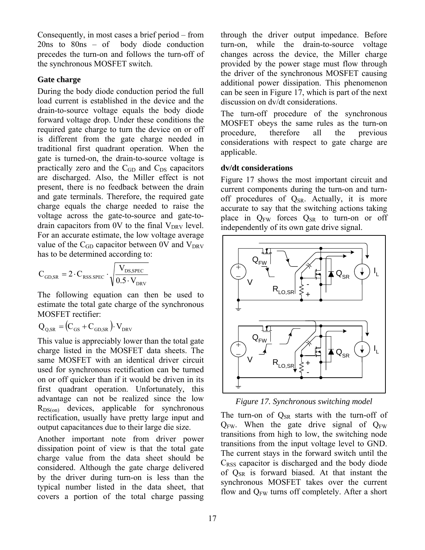Consequently, in most cases a brief period – from 20ns to 80ns – of body diode conduction precedes the turn-on and follows the turn-off of the synchronous MOSFET switch.

### **Gate charge**

During the body diode conduction period the full load current is established in the device and the drain-to-source voltage equals the body diode forward voltage drop. Under these conditions the required gate charge to turn the device on or off is different from the gate charge needed in traditional first quadrant operation. When the gate is turned-on, the drain-to-source voltage is practically zero and the  $C_{GD}$  and  $C_{DS}$  capacitors are discharged. Also, the Miller effect is not present, there is no feedback between the drain and gate terminals. Therefore, the required gate charge equals the charge needed to raise the voltage across the gate-to-source and gate-todrain capacitors from 0V to the final  $V_{DRV}$  level. For an accurate estimate, the low voltage average value of the  $C_{GD}$  capacitor between 0V and  $V_{DRV}$ has to be determined according to:

$$
C_{GD,SR} = 2 \cdot C_{RSS, SPEC} \cdot \sqrt{\frac{V_{DS, SPEC}}{0.5 \cdot V_{DRV}}}
$$

The following equation can then be used to estimate the total gate charge of the synchronous MOSFET rectifier:

$$
Q_{Q,SR} = (C_{GS} + C_{GD,SR}) \cdot V_{DRV}
$$

This value is appreciably lower than the total gate charge listed in the MOSFET data sheets. The same MOSFET with an identical driver circuit used for synchronous rectification can be turned on or off quicker than if it would be driven in its first quadrant operation. Unfortunately, this advantage can not be realized since the low  $R_{DS(on)}$  devices, applicable for synchronous rectification, usually have pretty large input and output capacitances due to their large die size.

Another important note from driver power dissipation point of view is that the total gate charge value from the data sheet should be considered. Although the gate charge delivered by the driver during turn-on is less than the typical number listed in the data sheet, that covers a portion of the total charge passing through the driver output impedance. Before turn-on, while the drain-to-source voltage changes across the device, the Miller charge provided by the power stage must flow through the driver of the synchronous MOSFET causing additional power dissipation. This phenomenon can be seen in Figure 17, which is part of the next discussion on dv/dt considerations.

The turn-off procedure of the synchronous MOSFET obeys the same rules as the turn-on procedure, therefore all the previous considerations with respect to gate charge are applicable.

### **dv/dt considerations**

Figure 17 shows the most important circuit and current components during the turn-on and turnoff procedures of  $Q_{SR}$ . Actually, it is more accurate to say that the switching actions taking place in Q<sub>FW</sub> forces Q<sub>SR</sub> to turn-on or off independently of its own gate drive signal.



*Figure 17. Synchronous switching model* 

The turn-on of  $Q_{SR}$  starts with the turn-off of  $Q_{FW}$ . When the gate drive signal of  $Q_{FW}$ transitions from high to low, the switching node transitions from the input voltage level to GND. The current stays in the forward switch until the  $C<sub>RSS</sub>$  capacitor is discharged and the body diode of  $Q_{SR}$  is forward biased. At that instant the synchronous MOSFET takes over the current flow and  $Q_{FW}$  turns off completely. After a short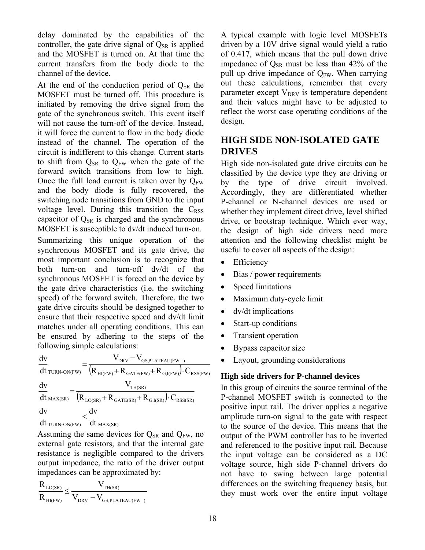delay dominated by the capabilities of the controller, the gate drive signal of  $Q_{SR}$  is applied and the MOSFET is turned on. At that time the current transfers from the body diode to the channel of the device.

At the end of the conduction period of  $Q_{SR}$  the MOSFET must be turned off. This procedure is initiated by removing the drive signal from the gate of the synchronous switch. This event itself will not cause the turn-off of the device. Instead, it will force the current to flow in the body diode instead of the channel. The operation of the circuit is indifferent to this change. Current starts to shift from  $Q_{SR}$  to  $Q_{FW}$  when the gate of the forward switch transitions from low to high. Once the full load current is taken over by  $O_{FW}$ and the body diode is fully recovered, the switching node transitions from GND to the input voltage level. During this transition the  $C<sub>RSS</sub>$ capacitor of  $Q_{SR}$  is charged and the synchronous MOSFET is susceptible to dv/dt induced turn-on.

Summarizing this unique operation of the synchronous MOSFET and its gate drive, the most important conclusion is to recognize that both turn-on and turn-off dv/dt of the synchronous MOSFET is forced on the device by the gate drive characteristics (i.e. the switching speed) of the forward switch. Therefore, the two gate drive circuits should be designed together to ensure that their respective speed and dv/dt limit matches under all operating conditions. This can be ensured by adhering to the steps of the following simple calculations:

$$
\begin{aligned} &\frac{dv}{dt}_{\text{TURN-ON(FW)}} = \frac{V_{\text{DRV}} - V_{\text{GS,PLATEAU(FW } )}}{(R_{\text{HI(FW)}} + R_{\text{GATE(FW)}} + R_{\text{G,I(FW)}}) \cdot C_{\text{RSS(FW)}}}\\ &\frac{dv}{dt}_{\text{MAX(SR)}} = \frac{V_{\text{TH(SR)}}}{\left(R_{\text{LO(SR)}} + R_{\text{GATE(SR)}} + R_{\text{G,I(SR)}}\right) \cdot C_{\text{RSS(SR)}}}\\ &\frac{dv}{dt}_{\text{TURN-ON(FW)}} < \frac{dv}{dt}_{\text{MAX(SR)}} \end{aligned}
$$

Assuming the same devices for  $Q_{SR}$  and  $Q_{FW}$ , no external gate resistors, and that the internal gate resistance is negligible compared to the drivers output impedance, the ratio of the driver output impedances can be approximated by:

$$
\frac{R_{_{\mathrm{LO(SR)}}}}{R_{_{\mathrm{HI(FW)}}}}\!\leq\!\frac{V_{_{\mathrm{TH(SR)}}}}{V_{_{\mathrm{DRV}}}-V_{_{\mathrm{GS,PLATEAU(FW~)}}}}
$$

A typical example with logic level MOSFETs driven by a 10V drive signal would yield a ratio of 0.417, which means that the pull down drive impedance of  $Q_{SR}$  must be less than 42% of the pull up drive impedance of  $Q_{FW}$ . When carrying out these calculations, remember that every parameter except  $V_{DRV}$  is temperature dependent and their values might have to be adjusted to reflect the worst case operating conditions of the design.

# **HIGH SIDE NON-ISOLATED GATE DRIVES**

High side non-isolated gate drive circuits can be classified by the device type they are driving or by the type of drive circuit involved. Accordingly, they are differentiated whether P-channel or N-channel devices are used or whether they implement direct drive, level shifted drive, or bootstrap technique. Which ever way, the design of high side drivers need more attention and the following checklist might be useful to cover all aspects of the design:

- Efficiency
- Bias / power requirements
- Speed limitations
- Maximum duty-cycle limit
- dv/dt implications
- Start-up conditions
- Transient operation
- Bypass capacitor size
- Layout, grounding considerations

# **High side drivers for P-channel devices**

In this group of circuits the source terminal of the P-channel MOSFET switch is connected to the positive input rail. The driver applies a negative amplitude turn-on signal to the gate with respect to the source of the device. This means that the output of the PWM controller has to be inverted and referenced to the positive input rail. Because the input voltage can be considered as a DC voltage source, high side P-channel drivers do not have to swing between large potential differences on the switching frequency basis, but they must work over the entire input voltage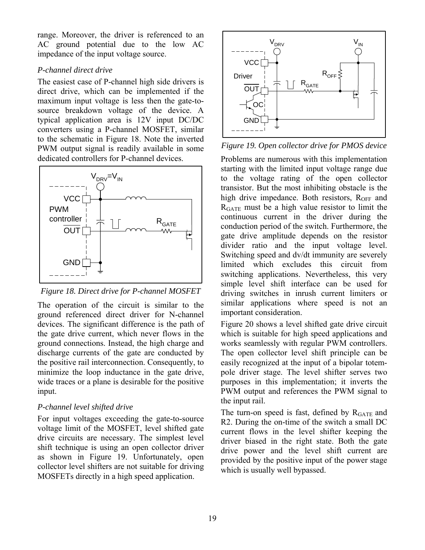range. Moreover, the driver is referenced to an AC ground potential due to the low AC impedance of the input voltage source.

# *P-channel direct drive*

The easiest case of P-channel high side drivers is direct drive, which can be implemented if the maximum input voltage is less then the gate-tosource breakdown voltage of the device. A typical application area is 12V input DC/DC converters using a P-channel MOSFET, similar to the schematic in Figure 18. Note the inverted PWM output signal is readily available in some dedicated controllers for P-channel devices.



*Figure 18. Direct drive for P-channel MOSFET* 

The operation of the circuit is similar to the ground referenced direct driver for N-channel devices. The significant difference is the path of the gate drive current, which never flows in the ground connections. Instead, the high charge and discharge currents of the gate are conducted by the positive rail interconnection. Consequently, to minimize the loop inductance in the gate drive, wide traces or a plane is desirable for the positive input.

# *P-channel level shifted drive*

For input voltages exceeding the gate-to-source voltage limit of the MOSFET, level shifted gate drive circuits are necessary. The simplest level shift technique is using an open collector driver as shown in Figure 19. Unfortunately, open collector level shifters are not suitable for driving MOSFETs directly in a high speed application.



*Figure 19. Open collector drive for PMOS device* 

Problems are numerous with this implementation starting with the limited input voltage range due to the voltage rating of the open collector transistor. But the most inhibiting obstacle is the high drive impedance. Both resistors,  $R_{OFF}$  and RGATE must be a high value resistor to limit the continuous current in the driver during the conduction period of the switch. Furthermore, the gate drive amplitude depends on the resistor divider ratio and the input voltage level. Switching speed and dv/dt immunity are severely limited which excludes this circuit from switching applications. Nevertheless, this very simple level shift interface can be used for driving switches in inrush current limiters or similar applications where speed is not an important consideration.

Figure 20 shows a level shifted gate drive circuit which is suitable for high speed applications and works seamlessly with regular PWM controllers. The open collector level shift principle can be easily recognized at the input of a bipolar totempole driver stage. The level shifter serves two purposes in this implementation; it inverts the PWM output and references the PWM signal to the input rail.

The turn-on speed is fast, defined by  $R<sub>GATE</sub>$  and R2. During the on-time of the switch a small DC current flows in the level shifter keeping the driver biased in the right state. Both the gate drive power and the level shift current are provided by the positive input of the power stage which is usually well bypassed.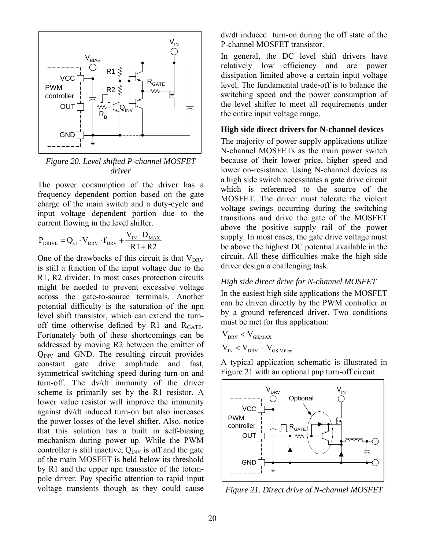

*Figure 20. Level shifted P-channel MOSFET driver* 

The power consumption of the driver has a frequency dependent portion based on the gate charge of the main switch and a duty-cycle and input voltage dependent portion due to the current flowing in the level shifter.

$$
P_{DRIVE} = Q_G \cdot V_{DRV} \cdot f_{DRV} + \frac{V_{IN} \cdot D_{MAX}}{R1 + R2}
$$

One of the drawbacks of this circuit is that  $V_{DRV}$ is still a function of the input voltage due to the R1, R2 divider. In most cases protection circuits might be needed to prevent excessive voltage across the gate-to-source terminals. Another potential difficulty is the saturation of the npn level shift transistor, which can extend the turnoff time otherwise defined by R1 and  $R<sub>GATE</sub>$ . Fortunately both of these shortcomings can be addressed by moving R2 between the emitter of  $Q<sub>INV</sub>$  and GND. The resulting circuit provides constant gate drive amplitude and fast, symmetrical switching speed during turn-on and turn-off. The dv/dt immunity of the driver scheme is primarily set by the R1 resistor. A lower value resistor will improve the immunity against dv/dt induced turn-on but also increases the power losses of the level shifter. Also, notice that this solution has a built in self-biasing mechanism during power up. While the PWM controller is still inactive,  $Q_{\text{INV}}$  is off and the gate of the main MOSFET is held below its threshold by R1 and the upper npn transistor of the totempole driver. Pay specific attention to rapid input voltage transients though as they could cause

dv/dt induced turn-on during the off state of the P-channel MOSFET transistor.

In general, the DC level shift drivers have relatively low efficiency and are power dissipation limited above a certain input voltage level. The fundamental trade-off is to balance the switching speed and the power consumption of the level shifter to meet all requirements under the entire input voltage range.

#### **High side direct drivers for N-channel devices**

The majority of power supply applications utilize N-channel MOSFETs as the main power switch because of their lower price, higher speed and lower on-resistance. Using N-channel devices as a high side switch necessitates a gate drive circuit which is referenced to the source of the MOSFET. The driver must tolerate the violent voltage swings occurring during the switching transitions and drive the gate of the MOSFET above the positive supply rail of the power supply. In most cases, the gate drive voltage must be above the highest DC potential available in the circuit. All these difficulties make the high side driver design a challenging task.

#### *High side direct drive for N-channel MOSFET*

In the easiest high side applications the MOSFET can be driven directly by the PWM controller or by a ground referenced driver. Two conditions must be met for this application:

$$
V_{DRV} < V_{GS,MAX}
$$
\n
$$
V_{IN} < V_{DRV} - V_{GS, Miller}
$$

A typical application schematic is illustrated in Figure 21 with an optional pnp turn-off circuit.



*Figure 21. Direct drive of N-channel MOSFET*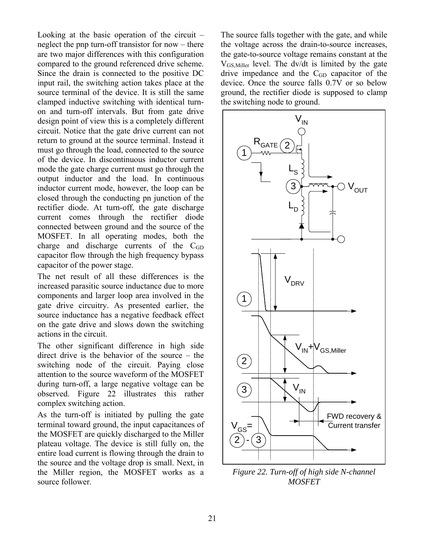Looking at the basic operation of the circuit – neglect the pnp turn-off transistor for now – there are two major differences with this configuration compared to the ground referenced drive scheme. Since the drain is connected to the positive DC input rail, the switching action takes place at the source terminal of the device. It is still the same clamped inductive switching with identical turnon and turn-off intervals. But from gate drive design point of view this is a completely different circuit. Notice that the gate drive current can not return to ground at the source terminal. Instead it must go through the load, connected to the source of the device. In discontinuous inductor current mode the gate charge current must go through the output inductor and the load. In continuous inductor current mode, however, the loop can be closed through the conducting pn junction of the rectifier diode. At turn-off, the gate discharge current comes through the rectifier diode connected between ground and the source of the MOSFET. In all operating modes, both the charge and discharge currents of the  $C_{GD}$ capacitor flow through the high frequency bypass capacitor of the power stage.

The net result of all these differences is the increased parasitic source inductance due to more components and larger loop area involved in the gate drive circuitry. As presented earlier, the source inductance has a negative feedback effect on the gate drive and slows down the switching actions in the circuit.

The other significant difference in high side direct drive is the behavior of the source – the switching node of the circuit. Paying close attention to the source waveform of the MOSFET during turn-off, a large negative voltage can be observed. Figure 22 illustrates this rather complex switching action.

As the turn-off is initiated by pulling the gate terminal toward ground, the input capacitances of the MOSFET are quickly discharged to the Miller plateau voltage. The device is still fully on, the entire load current is flowing through the drain to the source and the voltage drop is small. Next, in the Miller region, the MOSFET works as a source follower.

The source falls together with the gate, and while the voltage across the drain-to-source increases, the gate-to-source voltage remains constant at the  $V_{GS, Miller}$  level. The dv/dt is limited by the gate drive impedance and the  $C<sub>GD</sub>$  capacitor of the device. Once the source falls 0.7V or so below ground, the rectifier diode is supposed to clamp the switching node to ground.



*Figure 22. Turn-off of high side N-channel MOSFET*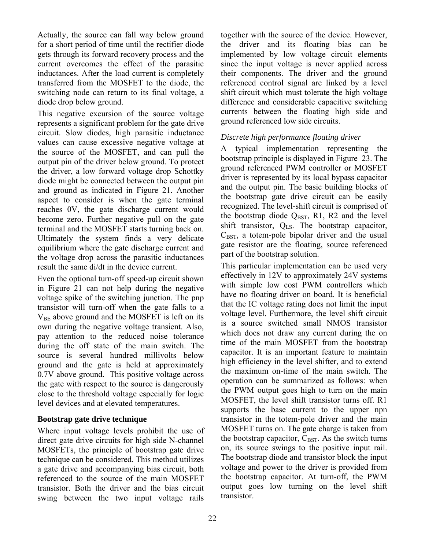Actually, the source can fall way below ground for a short period of time until the rectifier diode gets through its forward recovery process and the current overcomes the effect of the parasitic inductances. After the load current is completely transferred from the MOSFET to the diode, the switching node can return to its final voltage, a diode drop below ground.

This negative excursion of the source voltage represents a significant problem for the gate drive circuit. Slow diodes, high parasitic inductance values can cause excessive negative voltage at the source of the MOSFET, and can pull the output pin of the driver below ground. To protect the driver, a low forward voltage drop Schottky diode might be connected between the output pin and ground as indicated in Figure 21. Another aspect to consider is when the gate terminal reaches 0V, the gate discharge current would become zero. Further negative pull on the gate terminal and the MOSFET starts turning back on. Ultimately the system finds a very delicate equilibrium where the gate discharge current and the voltage drop across the parasitic inductances result the same di/dt in the device current.

Even the optional turn-off speed-up circuit shown in Figure 21 can not help during the negative voltage spike of the switching junction. The pnp transistor will turn-off when the gate falls to a  $V_{BE}$  above ground and the MOSFET is left on its own during the negative voltage transient. Also, pay attention to the reduced noise tolerance during the off state of the main switch. The source is several hundred millivolts below ground and the gate is held at approximately 0.7V above ground. This positive voltage across the gate with respect to the source is dangerously close to the threshold voltage especially for logic level devices and at elevated temperatures.

# **Bootstrap gate drive technique**

Where input voltage levels prohibit the use of direct gate drive circuits for high side N-channel MOSFETs, the principle of bootstrap gate drive technique can be considered. This method utilizes a gate drive and accompanying bias circuit, both referenced to the source of the main MOSFET transistor. Both the driver and the bias circuit swing between the two input voltage rails together with the source of the device. However, the driver and its floating bias can be implemented by low voltage circuit elements since the input voltage is never applied across their components. The driver and the ground referenced control signal are linked by a level shift circuit which must tolerate the high voltage difference and considerable capacitive switching currents between the floating high side and ground referenced low side circuits.

# *Discrete high performance floating driver*

A typical implementation representing the bootstrap principle is displayed in Figure 23. The ground referenced PWM controller or MOSFET driver is represented by its local bypass capacitor and the output pin. The basic building blocks of the bootstrap gate drive circuit can be easily recognized. The level-shift circuit is comprised of the bootstrap diode  $Q_{\text{BST}}$ , R1, R2 and the level shift transistor, QLS. The bootstrap capacitor,  $C_{\text{BST}}$ , a totem-pole bipolar driver and the usual gate resistor are the floating, source referenced part of the bootstrap solution.

This particular implementation can be used very effectively in 12V to approximately 24V systems with simple low cost PWM controllers which have no floating driver on board. It is beneficial that the IC voltage rating does not limit the input voltage level. Furthermore, the level shift circuit is a source switched small NMOS transistor which does not draw any current during the on time of the main MOSFET from the bootstrap capacitor. It is an important feature to maintain high efficiency in the level shifter, and to extend the maximum on-time of the main switch. The operation can be summarized as follows: when the PWM output goes high to turn on the main MOSFET, the level shift transistor turns off. R1 supports the base current to the upper npn transistor in the totem-pole driver and the main MOSFET turns on. The gate charge is taken from the bootstrap capacitor,  $C_{\text{BST}}$ . As the switch turns on, its source swings to the positive input rail. The bootstrap diode and transistor block the input voltage and power to the driver is provided from the bootstrap capacitor. At turn-off, the PWM output goes low turning on the level shift transistor.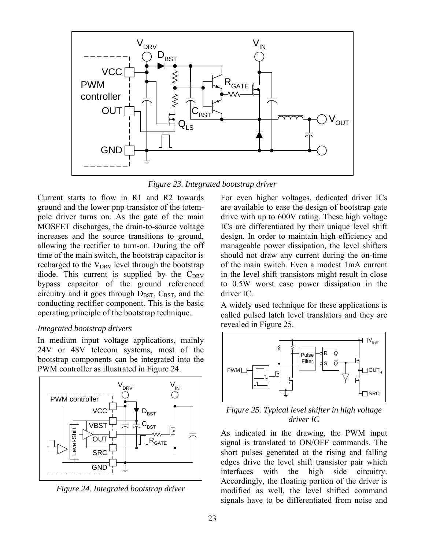

*Figure 23. Integrated bootstrap driver*

Current starts to flow in R1 and R2 towards ground and the lower pnp transistor of the totempole driver turns on. As the gate of the main MOSFET discharges, the drain-to-source voltage increases and the source transitions to ground, allowing the rectifier to turn-on. During the off time of the main switch, the bootstrap capacitor is recharged to the  $V_{DRV}$  level through the bootstrap diode. This current is supplied by the  $C_{DRV}$ bypass capacitor of the ground referenced circuitry and it goes through  $D_{\text{BST}}$ ,  $C_{\text{BST}}$ , and the conducting rectifier component. This is the basic operating principle of the bootstrap technique.

#### *Integrated bootstrap drivers*

In medium input voltage applications, mainly 24V or 48V telecom systems, most of the bootstrap components can be integrated into the PWM controller as illustrated in Figure 24.



*Figure 24. Integrated bootstrap driver* 

For even higher voltages, dedicated driver ICs are available to ease the design of bootstrap gate drive with up to 600V rating. These high voltage ICs are differentiated by their unique level shift design. In order to maintain high efficiency and manageable power dissipation, the level shifters should not draw any current during the on-time of the main switch. Even a modest 1mA current in the level shift transistors might result in close to 0.5W worst case power dissipation in the driver IC.

A widely used technique for these applications is called pulsed latch level translators and they are revealed in Figure 25.



*Figure 25. Typical level shifter in high voltage driver IC* 

As indicated in the drawing, the PWM input signal is translated to ON/OFF commands. The short pulses generated at the rising and falling edges drive the level shift transistor pair which interfaces with the high side circuitry. Accordingly, the floating portion of the driver is modified as well, the level shifted command signals have to be differentiated from noise and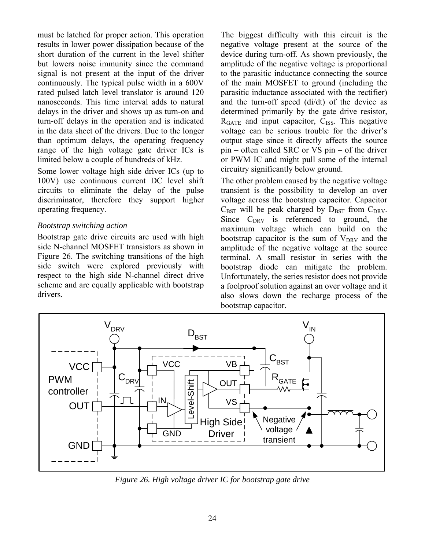must be latched for proper action. This operation results in lower power dissipation because of the short duration of the current in the level shifter but lowers noise immunity since the command signal is not present at the input of the driver continuously. The typical pulse width in a 600V rated pulsed latch level translator is around 120 nanoseconds. This time interval adds to natural delays in the driver and shows up as turn-on and turn-off delays in the operation and is indicated in the data sheet of the drivers. Due to the longer than optimum delays, the operating frequency range of the high voltage gate driver ICs is limited below a couple of hundreds of kHz.

Some lower voltage high side driver ICs (up to 100V) use continuous current DC level shift circuits to eliminate the delay of the pulse discriminator, therefore they support higher operating frequency.

### *Bootstrap switching action*

Bootstrap gate drive circuits are used with high side N-channel MOSFET transistors as shown in Figure 26. The switching transitions of the high side switch were explored previously with respect to the high side N-channel direct drive scheme and are equally applicable with bootstrap drivers.

The biggest difficulty with this circuit is the negative voltage present at the source of the device during turn-off. As shown previously, the amplitude of the negative voltage is proportional to the parasitic inductance connecting the source of the main MOSFET to ground (including the parasitic inductance associated with the rectifier) and the turn-off speed (di/dt) of the device as determined primarily by the gate drive resistor,  $R<sub>GATE</sub>$  and input capacitor,  $C<sub>ISS</sub>$ . This negative voltage can be serious trouble for the driver's output stage since it directly affects the source pin – often called SRC or VS pin – of the driver or PWM IC and might pull some of the internal circuitry significantly below ground.

The other problem caused by the negative voltage transient is the possibility to develop an over voltage across the bootstrap capacitor. Capacitor  $C_{\text{BST}}$  will be peak charged by  $D_{\text{BST}}$  from  $C_{\text{DRV}}$ . Since  $C_{DRV}$  is referenced to ground, the maximum voltage which can build on the bootstrap capacitor is the sum of  $V_{DRV}$  and the amplitude of the negative voltage at the source terminal. A small resistor in series with the bootstrap diode can mitigate the problem. Unfortunately, the series resistor does not provide a foolproof solution against an over voltage and it also slows down the recharge process of the bootstrap capacitor.



*Figure 26. High voltage driver IC for bootstrap gate drive*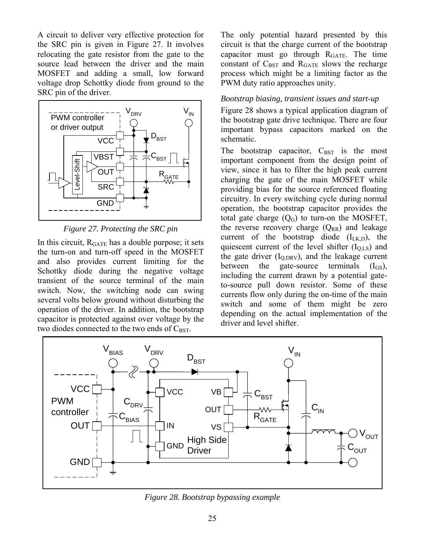A circuit to deliver very effective protection for the SRC pin is given in Figure 27. It involves relocating the gate resistor from the gate to the source lead between the driver and the main MOSFET and adding a small, low forward voltage drop Schottky diode from ground to the SRC pin of the driver.



*Figure 27. Protecting the SRC pin* 

In this circuit,  $R_{GATE}$  has a double purpose; it sets the turn-on and turn-off speed in the MOSFET and also provides current limiting for the Schottky diode during the negative voltage transient of the source terminal of the main switch. Now, the switching node can swing several volts below ground without disturbing the operation of the driver. In addition, the bootstrap capacitor is protected against over voltage by the two diodes connected to the two ends of  $C_{\text{BST}}$ .

The only potential hazard presented by this circuit is that the charge current of the bootstrap capacitor must go through  $R<sub>GATE</sub>$ . The time constant of  $C_{\text{BST}}$  and  $R_{\text{GATE}}$  slows the recharge process which might be a limiting factor as the PWM duty ratio approaches unity.

### *Bootstrap biasing, transient issues and start-up*

Figure 28 shows a typical application diagram of the bootstrap gate drive technique. There are four important bypass capacitors marked on the schematic.

The bootstrap capacitor,  $C_{\text{BST}}$  is the most important component from the design point of view, since it has to filter the high peak current charging the gate of the main MOSFET while providing bias for the source referenced floating circuitry. In every switching cycle during normal operation, the bootstrap capacitor provides the total gate charge  $(Q_G)$  to turn-on the MOSFET, the reverse recovery charge  $(Q_{RR})$  and leakage current of the bootstrap diode  $(I_{I,K,D})$ , the quiescent current of the level shifter  $(I<sub>OLS</sub>)$  and the gate driver  $(I_{\Omega \text{ DRV}})$ , and the leakage current between the gate-source terminals  $(I_{GS})$ , including the current drawn by a potential gateto-source pull down resistor. Some of these currents flow only during the on-time of the main switch and some of them might be zero depending on the actual implementation of the driver and level shifter.



*Figure 28. Bootstrap bypassing example*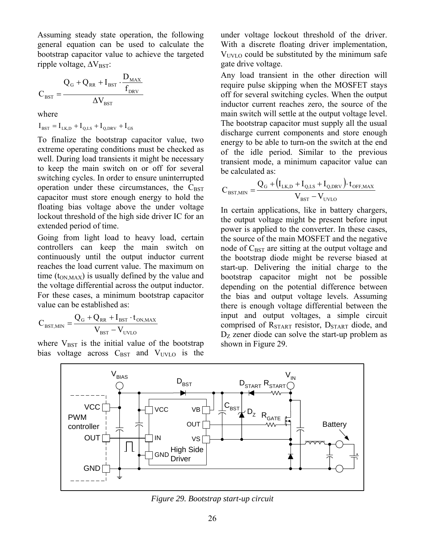Assuming steady state operation, the following general equation can be used to calculate the bootstrap capacitor value to achieve the targeted ripple voltage,  $\Delta V_{\text{BST}}$ :

$$
C_{\text{BST}} = \frac{Q_{\text{G}} + Q_{\text{RR}} + I_{\text{BST}} \cdot \frac{D_{\text{MAX}}}{f_{\text{DRV}}}}{\Delta V_{\text{BST}}}
$$

where

$$
\mathbf{I}_{\text{BST}} = \mathbf{I}_{\text{LK,D}} + \mathbf{I}_{\text{Q,LS}} + \mathbf{I}_{\text{Q,DRV}} + \mathbf{I}_{\text{GS}}
$$

To finalize the bootstrap capacitor value, two extreme operating conditions must be checked as well. During load transients it might be necessary to keep the main switch on or off for several switching cycles. In order to ensure uninterrupted operation under these circumstances, the  $C_{\text{BST}}$ capacitor must store enough energy to hold the floating bias voltage above the under voltage lockout threshold of the high side driver IC for an extended period of time.

Going from light load to heavy load, certain controllers can keep the main switch on continuously until the output inductor current reaches the load current value. The maximum on time  $(t_{ONMAX})$  is usually defined by the value and the voltage differential across the output inductor. For these cases, a minimum bootstrap capacitor value can be established as:

$$
C_{\text{BST,MIN}} = \frac{Q_{\text{G}} + Q_{\text{RR}} + I_{\text{BST}} \cdot t_{\text{ON,MAX}}}{V_{\text{BST}} - V_{\text{UVLO}}}
$$

where  $V_{\text{BST}}$  is the initial value of the bootstrap bias voltage across  $C_{\text{BST}}$  and  $V_{\text{UVLO}}$  is the

under voltage lockout threshold of the driver. With a discrete floating driver implementation,  $V<sub>UVLO</sub>$  could be substituted by the minimum safe gate drive voltage.

Any load transient in the other direction will require pulse skipping when the MOSFET stays off for several switching cycles. When the output inductor current reaches zero, the source of the main switch will settle at the output voltage level. The bootstrap capacitor must supply all the usual discharge current components and store enough energy to be able to turn-on the switch at the end of the idle period. Similar to the previous transient mode, a minimum capacitor value can be calculated as:

$$
C_{\text{BST,MIN}} = \frac{Q_G + (I_{LK,D} + I_{Q,LS} + I_{Q,DRV}) \cdot t_{OFF,MAX}}{V_{\text{BST}} - V_{UVLO}}
$$

In certain applications, like in battery chargers, the output voltage might be present before input power is applied to the converter. In these cases, the source of the main MOSFET and the negative node of  $C_{\text{BST}}$  are sitting at the output voltage and the bootstrap diode might be reverse biased at start-up. Delivering the initial charge to the bootstrap capacitor might not be possible depending on the potential difference between the bias and output voltage levels. Assuming there is enough voltage differential between the input and output voltages, a simple circuit comprised of  $R_{\text{STAT}}$  resistor,  $D_{\text{START}}$  diode, and  $D<sub>Z</sub>$  zener diode can solve the start-up problem as shown in Figure 29.



*Figure 29. Bootstrap start-up circuit*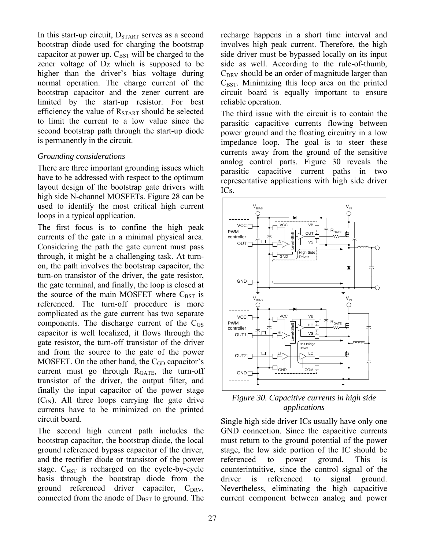In this start-up circuit,  $D_{START}$  serves as a second bootstrap diode used for charging the bootstrap capacitor at power up.  $C_{\text{BST}}$  will be charged to the zener voltage of  $D<sub>Z</sub>$  which is supposed to be higher than the driver's bias voltage during normal operation. The charge current of the bootstrap capacitor and the zener current are limited by the start-up resistor. For best efficiency the value of  $R_{\text{START}}$  should be selected to limit the current to a low value since the second bootstrap path through the start-up diode is permanently in the circuit.

### *Grounding considerations*

There are three important grounding issues which have to be addressed with respect to the optimum layout design of the bootstrap gate drivers with high side N-channel MOSFETs. Figure 28 can be used to identify the most critical high current loops in a typical application.

The first focus is to confine the high peak currents of the gate in a minimal physical area. Considering the path the gate current must pass through, it might be a challenging task. At turnon, the path involves the bootstrap capacitor, the turn-on transistor of the driver, the gate resistor, the gate terminal, and finally, the loop is closed at the source of the main MOSFET where  $C_{\text{BST}}$  is referenced. The turn-off procedure is more complicated as the gate current has two separate components. The discharge current of the  $C_{GS}$ capacitor is well localized, it flows through the gate resistor, the turn-off transistor of the driver and from the source to the gate of the power MOSFET. On the other hand, the  $C_{GD}$  capacitor's current must go through  $R<sub>GATE</sub>$ , the turn-off transistor of the driver, the output filter, and finally the input capacitor of the power stage  $(C_{\text{IN}})$ . All three loops carrying the gate drive currents have to be minimized on the printed circuit board.

The second high current path includes the bootstrap capacitor, the bootstrap diode, the local ground referenced bypass capacitor of the driver, and the rectifier diode or transistor of the power stage.  $C_{\text{BST}}$  is recharged on the cycle-by-cycle basis through the bootstrap diode from the ground referenced driver capacitor,  $C_{DRV}$ , connected from the anode of  $D_{\text{BST}}$  to ground. The

recharge happens in a short time interval and involves high peak current. Therefore, the high side driver must be bypassed locally on its input side as well. According to the rule-of-thumb,  $C<sub>DRV</sub>$  should be an order of magnitude larger than  $C_{\text{BST}}$ . Minimizing this loop area on the printed circuit board is equally important to ensure reliable operation.

The third issue with the circuit is to contain the parasitic capacitive currents flowing between power ground and the floating circuitry in a low impedance loop. The goal is to steer these currents away from the ground of the sensitive analog control parts. Figure 30 reveals the parasitic capacitive current paths in two representative applications with high side driver ICs.



*Figure 30. Capacitive currents in high side applications* 

Single high side driver ICs usually have only one GND connection. Since the capacitive currents must return to the ground potential of the power stage, the low side portion of the IC should be referenced to power ground. This is counterintuitive, since the control signal of the driver is referenced to signal ground. Nevertheless, eliminating the high capacitive current component between analog and power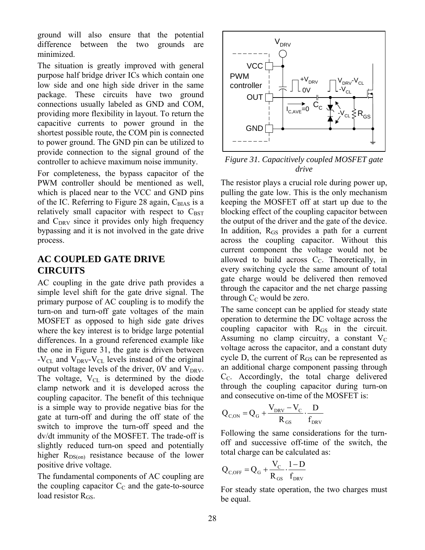ground will also ensure that the potential difference between the two grounds are minimized.

The situation is greatly improved with general purpose half bridge driver ICs which contain one low side and one high side driver in the same package. These circuits have two ground connections usually labeled as GND and COM, providing more flexibility in layout. To return the capacitive currents to power ground in the shortest possible route, the COM pin is connected to power ground. The GND pin can be utilized to provide connection to the signal ground of the controller to achieve maximum noise immunity.

For completeness, the bypass capacitor of the PWM controller should be mentioned as well, which is placed near to the VCC and GND pins of the IC. Referring to Figure 28 again,  $C_{\text{BIAS}}$  is a relatively small capacitor with respect to  $C_{\text{BST}}$ and  $C_{DRV}$  since it provides only high frequency bypassing and it is not involved in the gate drive process.

# **AC COUPLED GATE DRIVE CIRCUITS**

AC coupling in the gate drive path provides a simple level shift for the gate drive signal. The primary purpose of AC coupling is to modify the turn-on and turn-off gate voltages of the main MOSFET as opposed to high side gate drives where the key interest is to bridge large potential differences. In a ground referenced example like the one in Figure 31, the gate is driven between - $V_{CL}$  and  $V_{DRV}$ - $V_{CL}$  levels instead of the original output voltage levels of the driver,  $0V$  and  $V<sub>DRV</sub>$ . The voltage,  $V_{CL}$  is determined by the diode clamp network and it is developed across the coupling capacitor. The benefit of this technique is a simple way to provide negative bias for the gate at turn-off and during the off state of the switch to improve the turn-off speed and the dv/dt immunity of the MOSFET. The trade-off is slightly reduced turn-on speed and potentially higher  $R_{DS(0n)}$  resistance because of the lower positive drive voltage.

The fundamental components of AC coupling are the coupling capacitor  $C<sub>C</sub>$  and the gate-to-source load resistor  $R<sub>GS</sub>$ .



*Figure 31. Capacitively coupled MOSFET gate drive* 

The resistor plays a crucial role during power up, pulling the gate low. This is the only mechanism keeping the MOSFET off at start up due to the blocking effect of the coupling capacitor between the output of the driver and the gate of the device. In addition, R<sub>GS</sub> provides a path for a current across the coupling capacitor. Without this current component the voltage would not be allowed to build across  $C<sub>C</sub>$ . Theoretically, in every switching cycle the same amount of total gate charge would be delivered then removed through the capacitor and the net charge passing through  $C_C$  would be zero.

The same concept can be applied for steady state operation to determine the DC voltage across the coupling capacitor with  $R<sub>GS</sub>$  in the circuit. Assuming no clamp circuitry, a constant  $V_C$ voltage across the capacitor, and a constant duty cycle D, the current of  $R<sub>GS</sub>$  can be represented as an additional charge component passing through CC. Accordingly, the total charge delivered through the coupling capacitor during turn-on and consecutive on-time of the MOSFET is:

$$
Q_{C,ON} = Q_G + \frac{V_{DRV} - V_C}{R_{GS}} \cdot \frac{D}{f_{DRV}}
$$

Following the same considerations for the turnoff and successive off-time of the switch, the total charge can be calculated as:

$$
Q_{C,OFF} = Q_G + \frac{V_C}{R_{GS}} \cdot \frac{1-D}{f_{DRV}}
$$

For steady state operation, the two charges must be equal.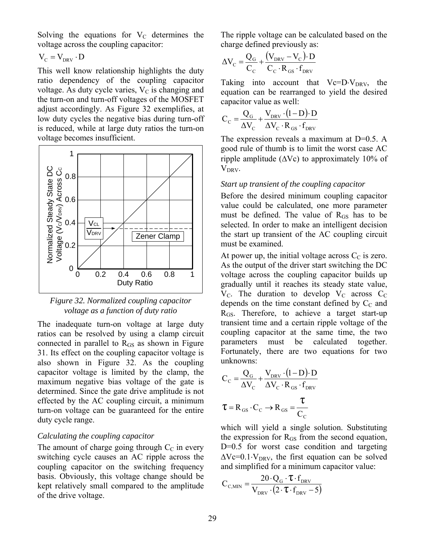Solving the equations for  $V_C$  determines the voltage across the coupling capacitor:

 $V_C = V_{DRV} \cdot D$ 

This well know relationship highlights the duty ratio dependency of the coupling capacitor voltage. As duty cycle varies,  $V<sub>C</sub>$  is changing and the turn-on and turn-off voltages of the MOSFET adjust accordingly. As Figure 32 exemplifies, at low duty cycles the negative bias during turn-off is reduced, while at large duty ratios the turn-on voltage becomes insufficient.



*Figure 32. Normalized coupling capacitor voltage as a function of duty ratio* 

The inadequate turn-on voltage at large duty ratios can be resolved by using a clamp circuit connected in parallel to  $R<sub>GS</sub>$  as shown in Figure 31. Its effect on the coupling capacitor voltage is also shown in Figure 32. As the coupling capacitor voltage is limited by the clamp, the maximum negative bias voltage of the gate is determined. Since the gate drive amplitude is not effected by the AC coupling circuit, a minimum turn-on voltage can be guaranteed for the entire duty cycle range.

#### *Calculating the coupling capacitor*

The amount of charge going through  $C_{\text{C}}$  in every switching cycle causes an AC ripple across the coupling capacitor on the switching frequency basis. Obviously, this voltage change should be kept relatively small compared to the amplitude of the drive voltage.

The ripple voltage can be calculated based on the charge defined previously as:

$$
\Delta V_{C} = \frac{Q_{G}}{C_{C}} + \frac{(V_{DRV} - V_{C}) \cdot D}{C_{C} \cdot R_{GS} \cdot f_{DRV}}
$$

Taking into account that  $Vc=D\cdot V_{DRV}$ , the equation can be rearranged to yield the desired capacitor value as well:

$$
C_C = \frac{Q_G}{\Delta V_C} + \frac{V_{DRV} \cdot (1 - D) \cdot D}{\Delta V_C \cdot R_{GS} \cdot f_{DRV}}
$$

The expression reveals a maximum at D=0.5. A good rule of thumb is to limit the worst case AC ripple amplitude ( $\Delta$ Vc) to approximately 10% of V<sub>DRV</sub>.

#### *Start up transient of the coupling capacitor*

Before the desired minimum coupling capacitor value could be calculated, one more parameter must be defined. The value of  $R<sub>GS</sub>$  has to be selected. In order to make an intelligent decision the start up transient of the AC coupling circuit must be examined.

At power up, the initial voltage across  $C_{\rm C}$  is zero. As the output of the driver start switching the DC voltage across the coupling capacitor builds up gradually until it reaches its steady state value,  $V_{\text{C}}$ . The duration to develop  $V_{\text{C}}$  across  $C_{\text{C}}$ depends on the time constant defined by  $C_{\text{C}}$  and RGS. Therefore, to achieve a target start-up transient time and a certain ripple voltage of the coupling capacitor at the same time, the two parameters must be calculated together. Fortunately, there are two equations for two unknowns:

$$
C_{C} = \frac{Q_{G}}{\Delta V_{C}} + \frac{V_{DRV} \cdot (1 - D) \cdot D}{\Delta V_{C} \cdot R_{GS} \cdot f_{DRV}}
$$

$$
\tau = R_{GS} \cdot C_{C} \rightarrow R_{GS} = \frac{\tau}{C_{C}}
$$

which will yield a single solution. Substituting the expression for  $R_{GS}$  from the second equation, D=0.5 for worst case condition and targeting  $\Delta$ Vc=0.1⋅V<sub>DRV</sub>, the first equation can be solved and simplified for a minimum capacitor value:

$$
C_{C,MIN} = \frac{20 \cdot Q_G \cdot \tau \cdot f_{DRV}}{V_{DRV} \cdot (2 \cdot \tau \cdot f_{DRV} - 5)}
$$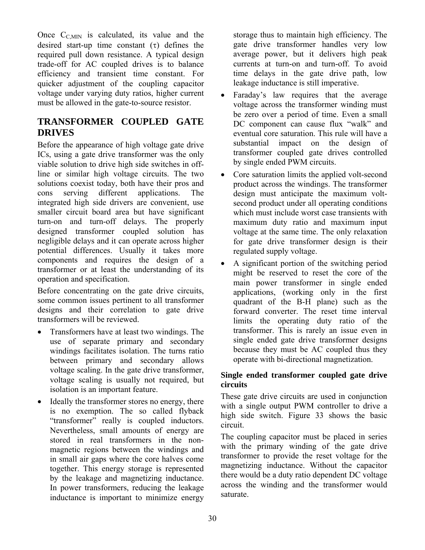Once  $C_{C,MIN}$  is calculated, its value and the desired start-up time constant  $(\tau)$  defines the required pull down resistance. A typical design trade-off for AC coupled drives is to balance efficiency and transient time constant. For quicker adjustment of the coupling capacitor voltage under varying duty ratios, higher current must be allowed in the gate-to-source resistor.

# **TRANSFORMER COUPLED GATE DRIVES**

Before the appearance of high voltage gate drive ICs, using a gate drive transformer was the only viable solution to drive high side switches in offline or similar high voltage circuits. The two solutions coexist today, both have their pros and cons serving different applications. The integrated high side drivers are convenient, use smaller circuit board area but have significant turn-on and turn-off delays. The properly designed transformer coupled solution has negligible delays and it can operate across higher potential differences. Usually it takes more components and requires the design of a transformer or at least the understanding of its operation and specification.

Before concentrating on the gate drive circuits, some common issues pertinent to all transformer designs and their correlation to gate drive transformers will be reviewed.

- Transformers have at least two windings. The use of separate primary and secondary windings facilitates isolation. The turns ratio between primary and secondary allows voltage scaling. In the gate drive transformer, voltage scaling is usually not required, but isolation is an important feature.
- Ideally the transformer stores no energy, there is no exemption. The so called flyback "transformer" really is coupled inductors. Nevertheless, small amounts of energy are stored in real transformers in the nonmagnetic regions between the windings and in small air gaps where the core halves come together. This energy storage is represented by the leakage and magnetizing inductance. In power transformers, reducing the leakage inductance is important to minimize energy

storage thus to maintain high efficiency. The gate drive transformer handles very low average power, but it delivers high peak currents at turn-on and turn-off. To avoid time delays in the gate drive path, low leakage inductance is still imperative.

- Faraday's law requires that the average voltage across the transformer winding must be zero over a period of time. Even a small DC component can cause flux "walk" and eventual core saturation. This rule will have a substantial impact on the design of transformer coupled gate drives controlled by single ended PWM circuits.
- Core saturation limits the applied volt-second product across the windings. The transformer design must anticipate the maximum voltsecond product under all operating conditions which must include worst case transients with maximum duty ratio and maximum input voltage at the same time. The only relaxation for gate drive transformer design is their regulated supply voltage.
- A significant portion of the switching period might be reserved to reset the core of the main power transformer in single ended applications, (working only in the first quadrant of the B-H plane) such as the forward converter. The reset time interval limits the operating duty ratio of the transformer. This is rarely an issue even in single ended gate drive transformer designs because they must be AC coupled thus they operate with bi-directional magnetization.

# **Single ended transformer coupled gate drive circuits**

These gate drive circuits are used in conjunction with a single output PWM controller to drive a high side switch. Figure 33 shows the basic circuit.

The coupling capacitor must be placed in series with the primary winding of the gate drive transformer to provide the reset voltage for the magnetizing inductance. Without the capacitor there would be a duty ratio dependent DC voltage across the winding and the transformer would saturate.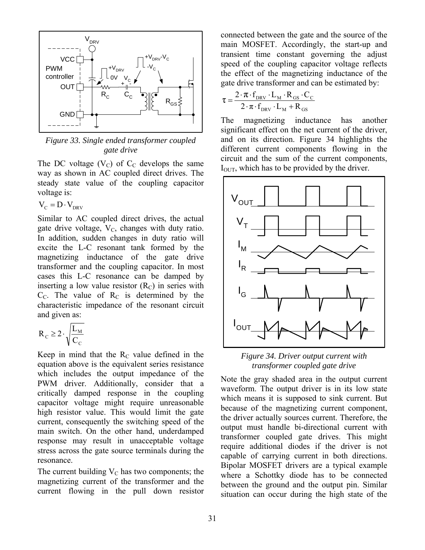

*Figure 33. Single ended transformer coupled gate drive* 

The DC voltage  $(V_C)$  of  $C_C$  develops the same way as shown in AC coupled direct drives. The steady state value of the coupling capacitor voltage is:

 $V_{C} = D \cdot V_{DRV}$ 

Similar to AC coupled direct drives, the actual gate drive voltage,  $V_c$ , changes with duty ratio. In addition, sudden changes in duty ratio will excite the L-C resonant tank formed by the magnetizing inductance of the gate drive transformer and the coupling capacitor. In most cases this L-C resonance can be damped by inserting a low value resistor  $(R_C)$  in series with  $C<sub>C</sub>$ . The value of  $R<sub>C</sub>$  is determined by the characteristic impedance of the resonant circuit and given as:

$$
R_c \geq 2 \cdot \sqrt{\frac{L_{_M}}{C_c}}
$$

Keep in mind that the  $R<sub>C</sub>$  value defined in the equation above is the equivalent series resistance which includes the output impedance of the PWM driver. Additionally, consider that a critically damped response in the coupling capacitor voltage might require unreasonable high resistor value. This would limit the gate current, consequently the switching speed of the main switch. On the other hand, underdamped response may result in unacceptable voltage stress across the gate source terminals during the resonance.

The current building  $V_C$  has two components; the magnetizing current of the transformer and the current flowing in the pull down resistor connected between the gate and the source of the main MOSFET. Accordingly, the start-up and transient time constant governing the adjust speed of the coupling capacitor voltage reflects the effect of the magnetizing inductance of the gate drive transformer and can be estimated by:

$$
\tau = \frac{2 \cdot \pi \cdot f_{DRV} \cdot L_M \cdot R_{GS} \cdot C_C}{2 \cdot \pi \cdot f_{DRV} \cdot L_M + R_{GS}}
$$

The magnetizing inductance has another significant effect on the net current of the driver, and on its direction. Figure 34 highlights the different current components flowing in the circuit and the sum of the current components,  $I<sub>OUT</sub>$ , which has to be provided by the driver.



*Figure 34. Driver output current with transformer coupled gate drive* 

Note the gray shaded area in the output current waveform. The output driver is in its low state which means it is supposed to sink current. But because of the magnetizing current component, the driver actually sources current. Therefore, the output must handle bi-directional current with transformer coupled gate drives. This might require additional diodes if the driver is not capable of carrying current in both directions. Bipolar MOSFET drivers are a typical example where a Schottky diode has to be connected between the ground and the output pin. Similar situation can occur during the high state of the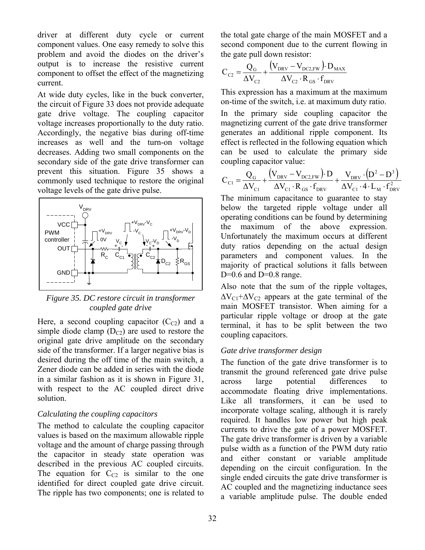driver at different duty cycle or current component values. One easy remedy to solve this problem and avoid the diodes on the driver's output is to increase the resistive current component to offset the effect of the magnetizing current.

At wide duty cycles, like in the buck converter, the circuit of Figure 33 does not provide adequate gate drive voltage. The coupling capacitor voltage increases proportionally to the duty ratio. Accordingly, the negative bias during off-time increases as well and the turn-on voltage decreases. Adding two small components on the secondary side of the gate drive transformer can prevent this situation. Figure 35 shows a commonly used technique to restore the original voltage levels of the gate drive pulse.



*Figure 35. DC restore circuit in transformer coupled gate drive* 

Here, a second coupling capacitor  $(C_{C2})$  and a simple diode clamp  $(D_{C2})$  are used to restore the original gate drive amplitude on the secondary side of the transformer. If a larger negative bias is desired during the off time of the main switch, a Zener diode can be added in series with the diode in a similar fashion as it is shown in Figure 31, with respect to the AC coupled direct drive solution.

### *Calculating the coupling capacitors*

The method to calculate the coupling capacitor values is based on the maximum allowable ripple voltage and the amount of charge passing through the capacitor in steady state operation was described in the previous AC coupled circuits. The equation for  $C_{C2}$  is similar to the one identified for direct coupled gate drive circuit. The ripple has two components; one is related to the total gate charge of the main MOSFET and a second component due to the current flowing in the gate pull down resistor:

$$
C_{C2} = \frac{Q_G}{\Delta V_{C2}} + \frac{(V_{DRV} - V_{DC2,FW}) \cdot D_{MAX}}{\Delta V_{C2} \cdot R_{GS} \cdot f_{DRV}}
$$

This expression has a maximum at the maximum on-time of the switch, i.e. at maximum duty ratio. In the primary side coupling capacitor the magnetizing current of the gate drive transformer generates an additional ripple component. Its effect is reflected in the following equation which can be used to calculate the primary side coupling capacitor value:

$$
C_{\text{Cl}} = \frac{Q_{\text{G}}}{\Delta V_{\text{Cl}}} + \frac{(V_{\text{DRV}} - V_{\text{DC2,FW}}) \cdot D}{\Delta V_{\text{Cl}} \cdot R_{\text{GS}} \cdot f_{\text{DRV}}} + \frac{V_{\text{DRV}} \cdot (D^2 - D^3)}{\Delta V_{\text{Cl}} \cdot 4 \cdot L_M \cdot f_{\text{DRV}}^2}
$$
\nThe minimum capacitance to square to stay below the targeted ripple voltage under all operating conditions can be found by determining the maximum of the above expression. Unfortunately, the maximum occurs at different duty ratios depending on the actual design parameters and component values. In the majority of practical solutions it falls between

Also note that the sum of the ripple voltages,  $\Delta V_{C1} + \Delta V_{C2}$  appears at the gate terminal of the main MOSFET transistor. When aiming for a particular ripple voltage or droop at the gate terminal, it has to be split between the two coupling capacitors.

# *Gate drive transformer design*

D= $0.6$  and D= $0.8$  range.

The function of the gate drive transformer is to transmit the ground referenced gate drive pulse across large potential differences to accommodate floating drive implementations. Like all transformers, it can be used to incorporate voltage scaling, although it is rarely required. It handles low power but high peak currents to drive the gate of a power MOSFET. The gate drive transformer is driven by a variable pulse width as a function of the PWM duty ratio and either constant or variable amplitude depending on the circuit configuration. In the single ended circuits the gate drive transformer is AC coupled and the magnetizing inductance sees a variable amplitude pulse. The double ended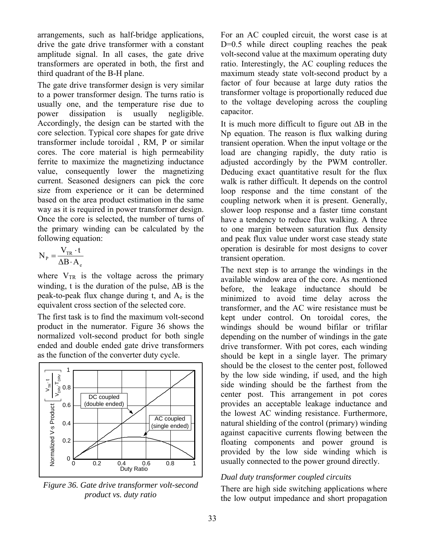arrangements, such as half-bridge applications, drive the gate drive transformer with a constant amplitude signal. In all cases, the gate drive transformers are operated in both, the first and third quadrant of the B-H plane.

The gate drive transformer design is very similar to a power transformer design. The turns ratio is usually one, and the temperature rise due to power dissipation is usually negligible. Accordingly, the design can be started with the core selection. Typical core shapes for gate drive transformer include toroidal , RM, P or similar cores. The core material is high permeability ferrite to maximize the magnetizing inductance value, consequently lower the magnetizing current. Seasoned designers can pick the core size from experience or it can be determined based on the area product estimation in the same way as it is required in power transformer design. Once the core is selected, the number of turns of the primary winding can be calculated by the following equation:

$$
N_{P} = \frac{V_{TR} \cdot t}{\Delta B \cdot A_{e}}
$$

where  $V_{TR}$  is the voltage across the primary winding, t is the duration of the pulse,  $\Delta B$  is the peak-to-peak flux change during  $t$ , and  $A<sub>e</sub>$  is the equivalent cross section of the selected core.

The first task is to find the maximum volt-second product in the numerator. Figure 36 shows the normalized volt-second product for both single ended and double ended gate drive transformers as the function of the converter duty cycle.



*Figure 36. Gate drive transformer volt-second product vs. duty ratio* 

For an AC coupled circuit, the worst case is at D=0.5 while direct coupling reaches the peak volt-second value at the maximum operating duty ratio. Interestingly, the AC coupling reduces the maximum steady state volt-second product by a factor of four because at large duty ratios the transformer voltage is proportionally reduced due to the voltage developing across the coupling capacitor.

It is much more difficult to figure out  $\Delta B$  in the Np equation. The reason is flux walking during transient operation. When the input voltage or the load are changing rapidly, the duty ratio is adjusted accordingly by the PWM controller. Deducing exact quantitative result for the flux walk is rather difficult. It depends on the control loop response and the time constant of the coupling network when it is present. Generally, slower loop response and a faster time constant have a tendency to reduce flux walking. A three to one margin between saturation flux density and peak flux value under worst case steady state operation is desirable for most designs to cover transient operation.

The next step is to arrange the windings in the available window area of the core. As mentioned before, the leakage inductance should be minimized to avoid time delay across the transformer, and the AC wire resistance must be kept under control. On toroidal cores, the windings should be wound bifilar or trifilar depending on the number of windings in the gate drive transformer. With pot cores, each winding should be kept in a single layer. The primary should be the closest to the center post, followed by the low side winding, if used, and the high side winding should be the farthest from the center post. This arrangement in pot cores provides an acceptable leakage inductance and the lowest AC winding resistance. Furthermore, natural shielding of the control (primary) winding against capacitive currents flowing between the floating components and power ground is provided by the low side winding which is usually connected to the power ground directly.

# *Dual duty transformer coupled circuits*

There are high side switching applications where the low output impedance and short propagation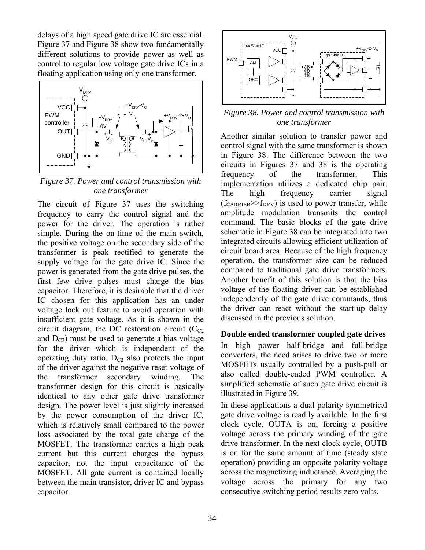delays of a high speed gate drive IC are essential. Figure 37 and Figure 38 show two fundamentally different solutions to provide power as well as control to regular low voltage gate drive ICs in a floating application using only one transformer.



*Figure 37. Power and control transmission with one transformer* 

The circuit of Figure 37 uses the switching frequency to carry the control signal and the power for the driver. The operation is rather simple. During the on-time of the main switch, the positive voltage on the secondary side of the transformer is peak rectified to generate the supply voltage for the gate drive IC. Since the power is generated from the gate drive pulses, the first few drive pulses must charge the bias capacitor. Therefore, it is desirable that the driver IC chosen for this application has an under voltage lock out feature to avoid operation with insufficient gate voltage. As it is shown in the circuit diagram, the DC restoration circuit  $(C_{C2})$ and  $D_{\text{C2}}$ ) must be used to generate a bias voltage for the driver which is independent of the operating duty ratio.  $D_{C2}$  also protects the input of the driver against the negative reset voltage of the transformer secondary winding. The transformer design for this circuit is basically identical to any other gate drive transformer design. The power level is just slightly increased by the power consumption of the driver IC, which is relatively small compared to the power loss associated by the total gate charge of the MOSFET. The transformer carries a high peak current but this current charges the bypass capacitor, not the input capacitance of the MOSFET. All gate current is contained locally between the main transistor, driver IC and bypass capacitor.



*Figure 38. Power and control transmission with one transformer* 

Another similar solution to transfer power and control signal with the same transformer is shown in Figure 38. The difference between the two circuits in Figures 37 and 38 is the operating frequency of the transformer. This implementation utilizes a dedicated chip pair. The high frequency carrier signal  $(f_{CARRIER} \gg f_{DRV})$  is used to power transfer, while amplitude modulation transmits the control command. The basic blocks of the gate drive schematic in Figure 38 can be integrated into two integrated circuits allowing efficient utilization of circuit board area. Because of the high frequency operation, the transformer size can be reduced compared to traditional gate drive transformers. Another benefit of this solution is that the bias voltage of the floating driver can be established independently of the gate drive commands, thus the driver can react without the start-up delay discussed in the previous solution.

### **Double ended transformer coupled gate drives**

In high power half-bridge and full-bridge converters, the need arises to drive two or more MOSFETs usually controlled by a push-pull or also called double-ended PWM controller. A simplified schematic of such gate drive circuit is illustrated in Figure 39.

In these applications a dual polarity symmetrical gate drive voltage is readily available. In the first clock cycle, OUTA is on, forcing a positive voltage across the primary winding of the gate drive transformer. In the next clock cycle, OUTB is on for the same amount of time (steady state operation) providing an opposite polarity voltage across the magnetizing inductance. Averaging the voltage across the primary for any two consecutive switching period results zero volts.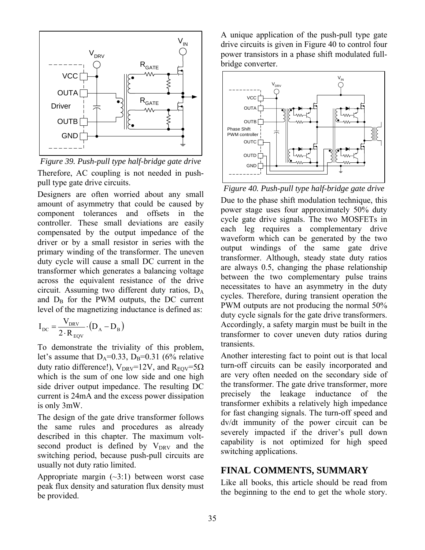

*Figure 39. Push-pull type half-bridge gate drive* Therefore, AC coupling is not needed in pushpull type gate drive circuits.

Designers are often worried about any small amount of asymmetry that could be caused by component tolerances and offsets in the controller. These small deviations are easily compensated by the output impedance of the driver or by a small resistor in series with the primary winding of the transformer. The uneven duty cycle will cause a small DC current in the transformer which generates a balancing voltage across the equivalent resistance of the drive circuit. Assuming two different duty ratios, DA and  $D_B$  for the PWM outputs, the DC current level of the magnetizing inductance is defined as:

$$
I_{DC} = \frac{V_{DRV}}{2 \cdot R_{EQV}} \cdot (D_A - D_B)
$$

To demonstrate the triviality of this problem, let's assume that  $D_A=0.33$ ,  $D_B=0.31$  (6% relative duty ratio difference!),  $V_{DRV}$ =12V, and  $R_{EOV}$ =5 $\Omega$ which is the sum of one low side and one high side driver output impedance. The resulting DC current is 24mA and the excess power dissipation is only 3mW.

The design of the gate drive transformer follows the same rules and procedures as already described in this chapter. The maximum voltsecond product is defined by  $V_{DRV}$  and the switching period, because push-pull circuits are usually not duty ratio limited.

Appropriate margin  $(\sim 3:1)$  between worst case peak flux density and saturation flux density must be provided.

A unique application of the push-pull type gate drive circuits is given in Figure 40 to control four power transistors in a phase shift modulated fullbridge converter.



*Figure 40. Push-pull type half-bridge gate drive*

Due to the phase shift modulation technique, this power stage uses four approximately 50% duty cycle gate drive signals. The two MOSFETs in each leg requires a complementary drive waveform which can be generated by the two output windings of the same gate drive transformer. Although, steady state duty ratios are always 0.5, changing the phase relationship between the two complementary pulse trains necessitates to have an asymmetry in the duty cycles. Therefore, during transient operation the PWM outputs are not producing the normal 50% duty cycle signals for the gate drive transformers. Accordingly, a safety margin must be built in the transformer to cover uneven duty ratios during transients.

Another interesting fact to point out is that local turn-off circuits can be easily incorporated and are very often needed on the secondary side of the transformer. The gate drive transformer, more precisely the leakage inductance of the transformer exhibits a relatively high impedance for fast changing signals. The turn-off speed and dv/dt immunity of the power circuit can be severely impacted if the driver's pull down capability is not optimized for high speed switching applications.

# **FINAL COMMENTS, SUMMARY**

Like all books, this article should be read from the beginning to the end to get the whole story.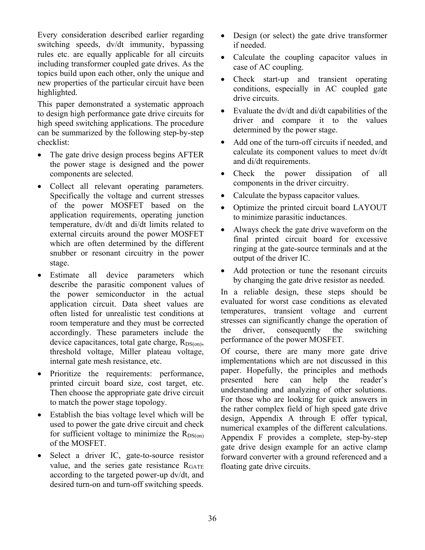Every consideration described earlier regarding switching speeds, dv/dt immunity, bypassing rules etc. are equally applicable for all circuits including transformer coupled gate drives. As the topics build upon each other, only the unique and new properties of the particular circuit have been highlighted.

This paper demonstrated a systematic approach to design high performance gate drive circuits for high speed switching applications. The procedure can be summarized by the following step-by-step checklist:

- The gate drive design process begins AFTER the power stage is designed and the power components are selected.
- Collect all relevant operating parameters. Specifically the voltage and current stresses of the power MOSFET based on the application requirements, operating junction temperature, dv/dt and di/dt limits related to external circuits around the power MOSFET which are often determined by the different snubber or resonant circuitry in the power stage.
- Estimate all device parameters which describe the parasitic component values of the power semiconductor in the actual application circuit. Data sheet values are often listed for unrealistic test conditions at room temperature and they must be corrected accordingly. These parameters include the device capacitances, total gate charge,  $R_{DS(on)}$ , threshold voltage, Miller plateau voltage, internal gate mesh resistance, etc.
- Prioritize the requirements: performance, printed circuit board size, cost target, etc. Then choose the appropriate gate drive circuit to match the power stage topology.
- Establish the bias voltage level which will be used to power the gate drive circuit and check for sufficient voltage to minimize the  $R_{DS(on)}$ of the MOSFET.
- Select a driver IC, gate-to-source resistor value, and the series gate resistance  $R<sub>GATE</sub>$ according to the targeted power-up dv/dt, and desired turn-on and turn-off switching speeds.
- Design (or select) the gate drive transformer if needed.
- Calculate the coupling capacitor values in case of AC coupling.
- Check start-up and transient operating conditions, especially in AC coupled gate drive circuits.
- Evaluate the dv/dt and di/dt capabilities of the driver and compare it to the values determined by the power stage.
- Add one of the turn-off circuits if needed, and calculate its component values to meet dv/dt and di/dt requirements.
- Check the power dissipation of all components in the driver circuitry.
- Calculate the bypass capacitor values.
- Optimize the printed circuit board LAYOUT to minimize parasitic inductances.
- Always check the gate drive waveform on the final printed circuit board for excessive ringing at the gate-source terminals and at the output of the driver IC.
- Add protection or tune the resonant circuits by changing the gate drive resistor as needed.

In a reliable design, these steps should be evaluated for worst case conditions as elevated temperatures, transient voltage and current stresses can significantly change the operation of the driver, consequently the switching performance of the power MOSFET.

Of course, there are many more gate drive implementations which are not discussed in this paper. Hopefully, the principles and methods presented here can help the reader's understanding and analyzing of other solutions. For those who are looking for quick answers in the rather complex field of high speed gate drive design, Appendix A through E offer typical, numerical examples of the different calculations. Appendix F provides a complete, step-by-step gate drive design example for an active clamp forward converter with a ground referenced and a floating gate drive circuits.